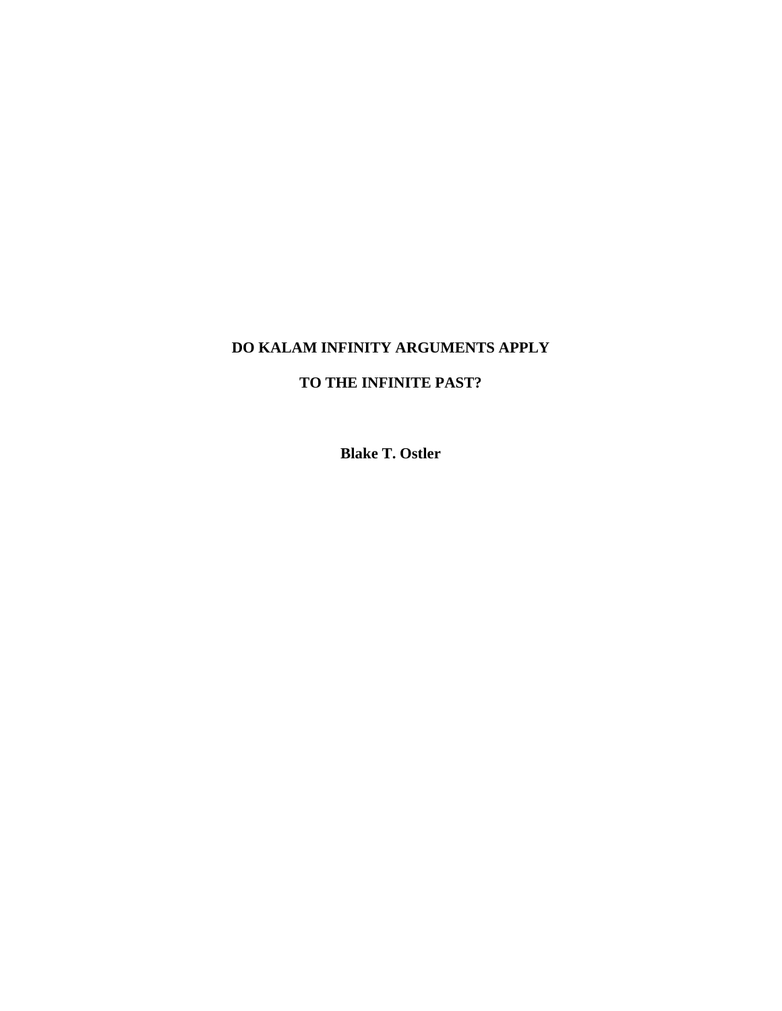# **DO KALAM INFINITY ARGUMENTS APPLY**

## **TO THE INFINITE PAST?**

**Blake T. Ostler**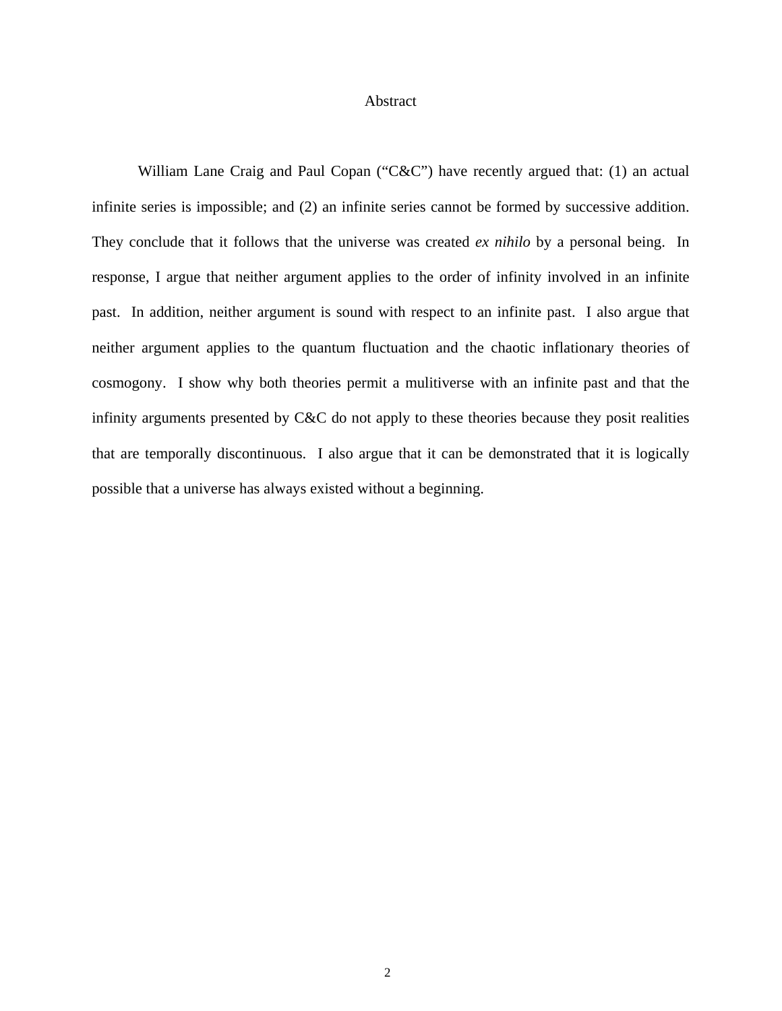#### Abstract

William Lane Craig and Paul Copan ("C&C") have recently argued that: (1) an actual infinite series is impossible; and (2) an infinite series cannot be formed by successive addition. They conclude that it follows that the universe was created *ex nihilo* by a personal being. In response, I argue that neither argument applies to the order of infinity involved in an infinite past. In addition, neither argument is sound with respect to an infinite past. I also argue that neither argument applies to the quantum fluctuation and the chaotic inflationary theories of cosmogony. I show why both theories permit a mulitiverse with an infinite past and that the infinity arguments presented by C&C do not apply to these theories because they posit realities that are temporally discontinuous. I also argue that it can be demonstrated that it is logically possible that a universe has always existed without a beginning.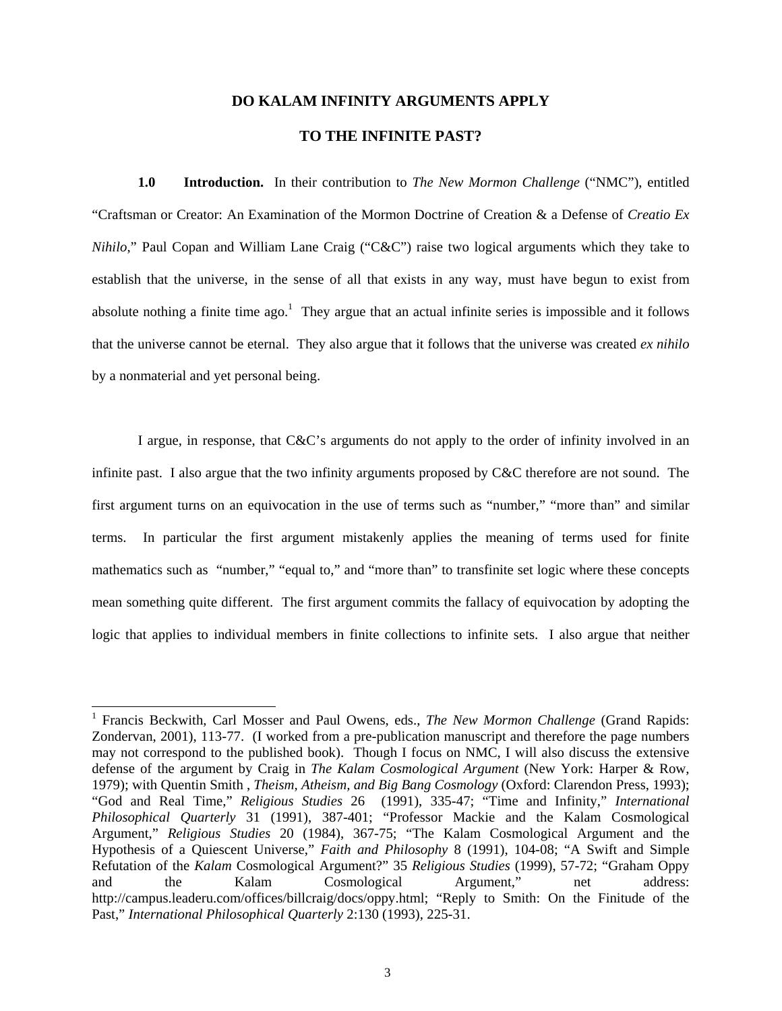#### **DO KALAM INFINITY ARGUMENTS APPLY**

### **TO THE INFINITE PAST?**

**1.0 Introduction.** In their contribution to *The New Mormon Challenge* ("NMC"), entitled "Craftsman or Creator: An Examination of the Mormon Doctrine of Creation & a Defense of *Creatio Ex Nihilo*," Paul Copan and William Lane Craig ("C&C") raise two logical arguments which they take to establish that the universe, in the sense of all that exists in any way, must have begun to exist from absolute nothing a finite time  $ago^{1}$  $ago^{1}$  $ago^{1}$ . They argue that an actual infinite series is impossible and it follows that the universe cannot be eternal. They also argue that it follows that the universe was created *ex nihilo*  by a nonmaterial and yet personal being.

I argue, in response, that C&C's arguments do not apply to the order of infinity involved in an infinite past. I also argue that the two infinity arguments proposed by C&C therefore are not sound. The first argument turns on an equivocation in the use of terms such as "number," "more than" and similar terms. In particular the first argument mistakenly applies the meaning of terms used for finite mathematics such as "number," "equal to," and "more than" to transfinite set logic where these concepts mean something quite different. The first argument commits the fallacy of equivocation by adopting the logic that applies to individual members in finite collections to infinite sets. I also argue that neither

l

<span id="page-2-0"></span><sup>&</sup>lt;sup>1</sup> Francis Beckwith, Carl Mosser and Paul Owens, eds., *The New Mormon Challenge* (Grand Rapids: Zondervan, 2001), 113-77. (I worked from a pre-publication manuscript and therefore the page numbers may not correspond to the published book). Though I focus on NMC, I will also discuss the extensive defense of the argument by Craig in *The Kalam Cosmological Argument* (New York: Harper & Row, 1979); with Quentin Smith , *Theism, Atheism, and Big Bang Cosmology* (Oxford: Clarendon Press, 1993); "God and Real Time," *Religious Studies* 26 (1991), 335-47; "Time and Infinity," *International Philosophical Quarterly* 31 (1991), 387-401; "Professor Mackie and the Kalam Cosmological Argument," *Religious Studies* 20 (1984), 367-75; "The Kalam Cosmological Argument and the Hypothesis of a Quiescent Universe," *Faith and Philosophy* 8 (1991), 104-08; "A Swift and Simple Refutation of the *Kalam* Cosmological Argument?" 35 *Religious Studies* (1999), 57-72; "Graham Oppy and the Kalam Cosmological Argument," net address: http://campus.leaderu.com/offices/billcraig/docs/oppy.html; "Reply to Smith: On the Finitude of the Past," *International Philosophical Quarterly* 2:130 (1993), 225-31.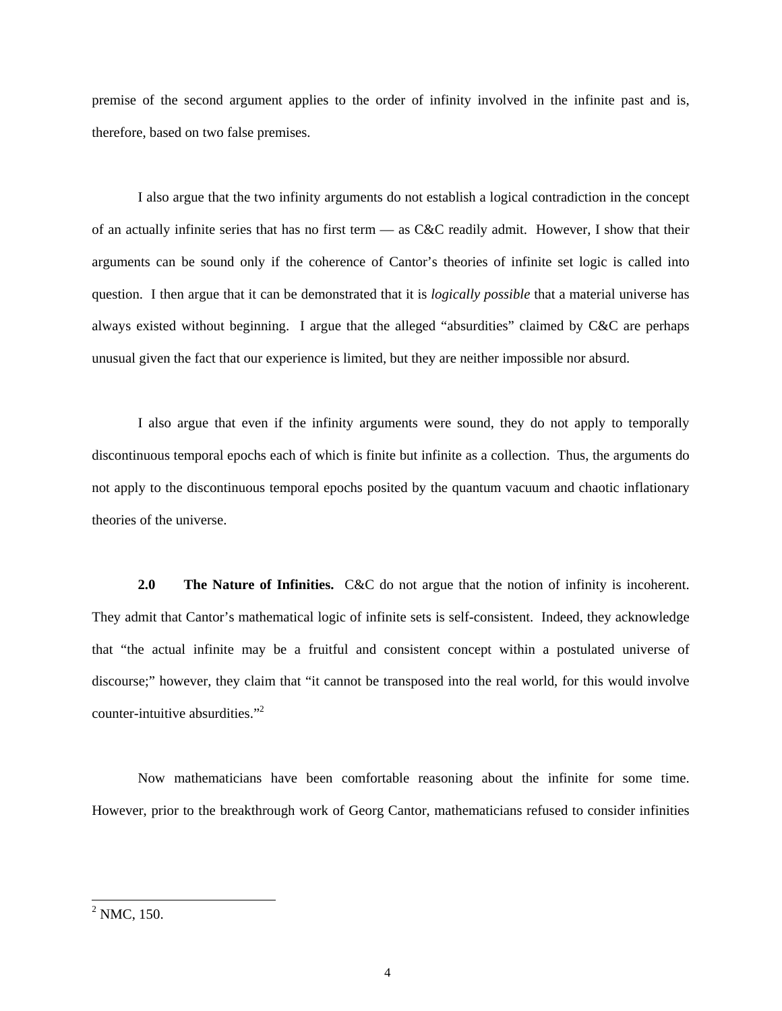premise of the second argument applies to the order of infinity involved in the infinite past and is, therefore, based on two false premises.

I also argue that the two infinity arguments do not establish a logical contradiction in the concept of an actually infinite series that has no first term — as C&C readily admit. However, I show that their arguments can be sound only if the coherence of Cantor's theories of infinite set logic is called into question. I then argue that it can be demonstrated that it is *logically possible* that a material universe has always existed without beginning. I argue that the alleged "absurdities" claimed by C&C are perhaps unusual given the fact that our experience is limited, but they are neither impossible nor absurd.

I also argue that even if the infinity arguments were sound, they do not apply to temporally discontinuous temporal epochs each of which is finite but infinite as a collection. Thus, the arguments do not apply to the discontinuous temporal epochs posited by the quantum vacuum and chaotic inflationary theories of the universe.

**2.0 The Nature of Infinities.** C&C do not argue that the notion of infinity is incoherent. They admit that Cantor's mathematical logic of infinite sets is self-consistent. Indeed, they acknowledge that "the actual infinite may be a fruitful and consistent concept within a postulated universe of discourse;" however, they claim that "it cannot be transposed into the real world, for this would involve counter-intuitive absurdities."<sup>2</sup>

Now mathematicians have been comfortable reasoning about the infinite for some time. However, prior to the breakthrough work of Georg Cantor, mathematicians refused to consider infinities

<span id="page-3-0"></span><sup>&</sup>lt;sup>2</sup> NMC, 150.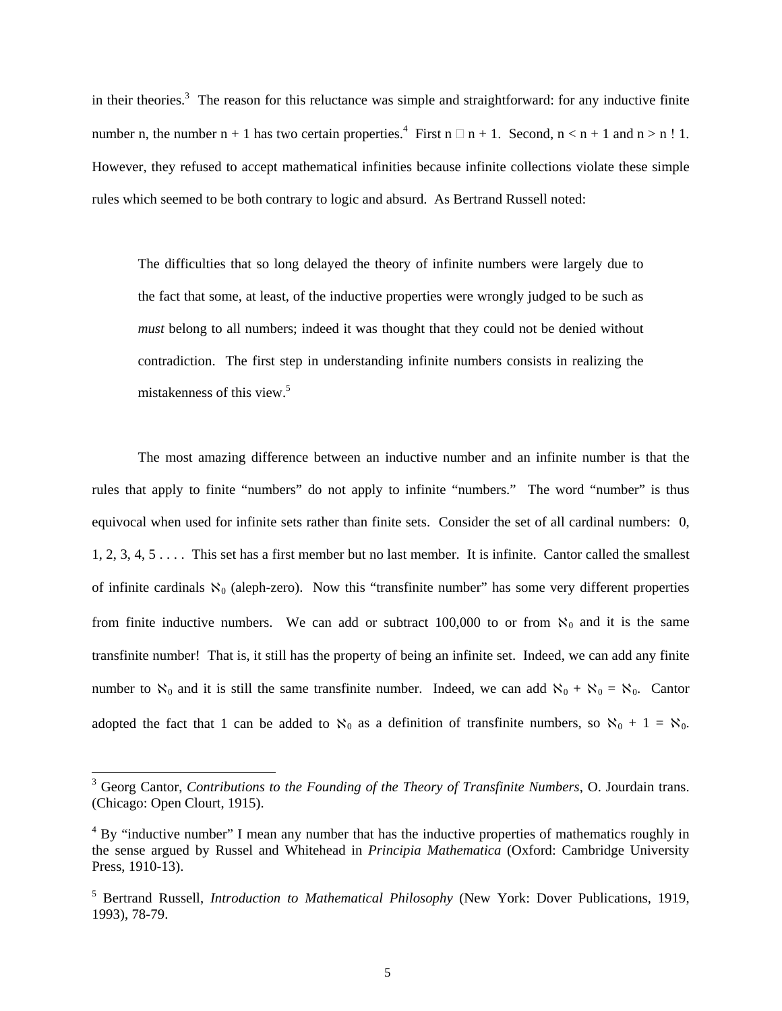in their theories.<sup>[3](#page-4-0)</sup> The reason for this reluctance was simple and straightforward: for any inductive finite number n, the number  $n + 1$  has two certain properties.<sup>[4](#page-4-1)</sup> First  $n \Box n + 1$ . Second,  $n < n + 1$  and  $n > n$ ! 1. However, they refused to accept mathematical infinities because infinite collections violate these simple rules which seemed to be both contrary to logic and absurd. As Bertrand Russell noted:

The difficulties that so long delayed the theory of infinite numbers were largely due to the fact that some, at least, of the inductive properties were wrongly judged to be such as *must* belong to all numbers; indeed it was thought that they could not be denied without contradiction. The first step in understanding infinite numbers consists in realizing the mistakenness of this view.<sup>[5](#page-4-2)</sup>

The most amazing difference between an inductive number and an infinite number is that the rules that apply to finite "numbers" do not apply to infinite "numbers." The word "number" is thus equivocal when used for infinite sets rather than finite sets. Consider the set of all cardinal numbers: 0, 1, 2, 3, 4, 5 . . . . This set has a first member but no last member. It is infinite. Cantor called the smallest of infinite cardinals  $\aleph_0$  (aleph-zero). Now this "transfinite number" has some very different properties from finite inductive numbers. We can add or subtract 100,000 to or from  $\aleph_0$  and it is the same transfinite number! That is, it still has the property of being an infinite set. Indeed, we can add any finite number to  $\aleph_0$  and it is still the same transfinite number. Indeed, we can add  $\aleph_0 + \aleph_0 = \aleph_0$ . Cantor adopted the fact that 1 can be added to  $\aleph_0$  as a definition of transfinite numbers, so  $\aleph_0 + 1 = \aleph_0$ .

<span id="page-4-0"></span><sup>3</sup> Georg Cantor, *Contributions to the Founding of the Theory of Transfinite Numbers*, O. Jourdain trans. (Chicago: Open Clourt, 1915).

<span id="page-4-1"></span><sup>&</sup>lt;sup>4</sup> By "inductive number" I mean any number that has the inductive properties of mathematics roughly in the sense argued by Russel and Whitehead in *Principia Mathematica* (Oxford: Cambridge University Press, 1910-13).

<span id="page-4-2"></span><sup>5</sup> Bertrand Russell, *Introduction to Mathematical Philosophy* (New York: Dover Publications, 1919, 1993), 78-79.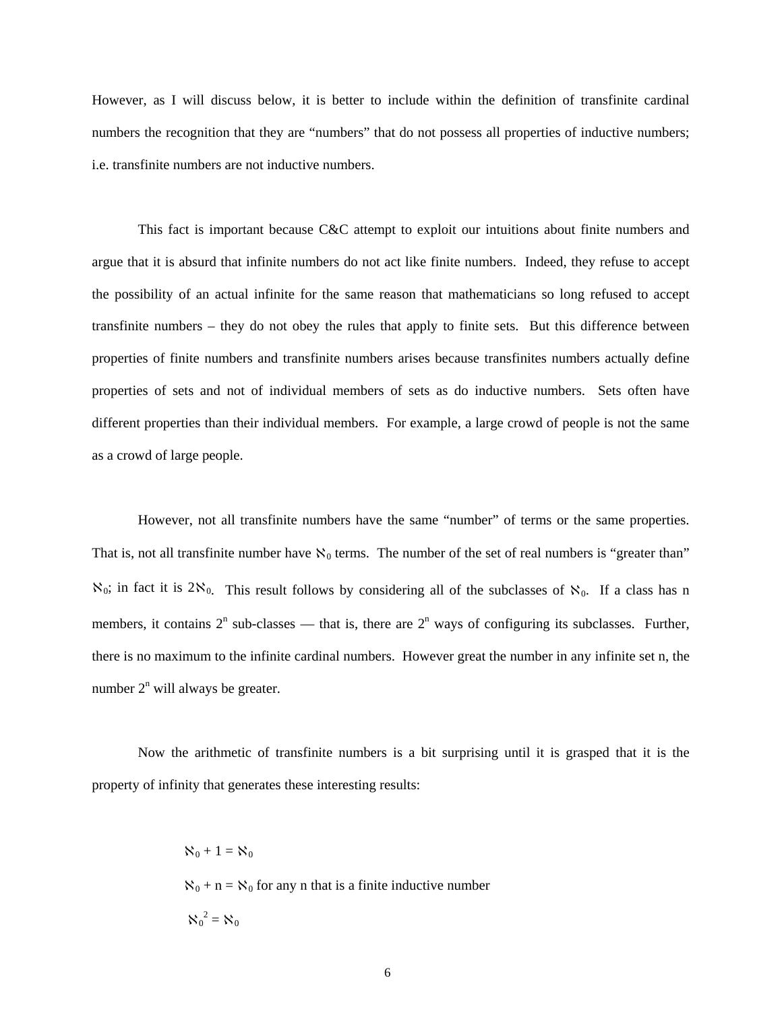However, as I will discuss below, it is better to include within the definition of transfinite cardinal numbers the recognition that they are "numbers" that do not possess all properties of inductive numbers; i.e. transfinite numbers are not inductive numbers.

This fact is important because C&C attempt to exploit our intuitions about finite numbers and argue that it is absurd that infinite numbers do not act like finite numbers. Indeed, they refuse to accept the possibility of an actual infinite for the same reason that mathematicians so long refused to accept transfinite numbers – they do not obey the rules that apply to finite sets. But this difference between properties of finite numbers and transfinite numbers arises because transfinites numbers actually define properties of sets and not of individual members of sets as do inductive numbers. Sets often have different properties than their individual members. For example, a large crowd of people is not the same as a crowd of large people.

However, not all transfinite numbers have the same "number" of terms or the same properties. That is, not all transfinite number have  $\aleph_0$  terms. The number of the set of real numbers is "greater than"  $\aleph_0$ ; in fact it is 2 $\aleph_0$ . This result follows by considering all of the subclasses of  $\aleph_0$ . If a class has n members, it contains  $2^n$  sub-classes — that is, there are  $2^n$  ways of configuring its subclasses. Further, there is no maximum to the infinite cardinal numbers. However great the number in any infinite set n, the number  $2^n$  will always be greater.

Now the arithmetic of transfinite numbers is a bit surprising until it is grasped that it is the property of infinity that generates these interesting results:

 $\aleph_0 + 1 = \aleph_0$  $\aleph_0$  + n =  $\aleph_0$  for any n that is a finite inductive number  $\aleph_0^2 = \aleph_0$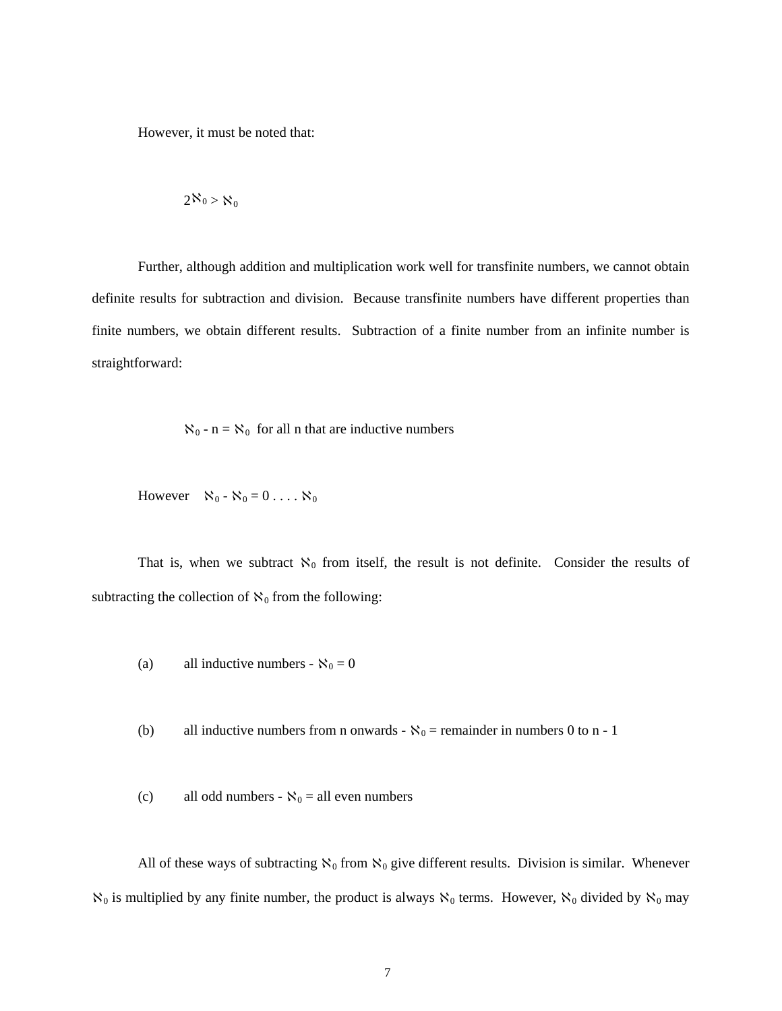However, it must be noted that:

$$
2\aleph_0 > \aleph_0
$$

Further, although addition and multiplication work well for transfinite numbers, we cannot obtain definite results for subtraction and division. Because transfinite numbers have different properties than finite numbers, we obtain different results. Subtraction of a finite number from an infinite number is straightforward:

 $\aleph_0$  - n =  $\aleph_0$  for all n that are inductive numbers

However  $\aleph_0 - \aleph_0 = 0 \ldots \aleph_0$ 

That is, when we subtract  $\aleph_0$  from itself, the result is not definite. Consider the results of subtracting the collection of  $\aleph_0$  from the following:

- (a) all inductive numbers  $\aleph_0 = 0$
- (b) all inductive numbers from n onwards  $\aleph_0$  = remainder in numbers 0 to n 1
- (c) all odd numbers  $\aleph_0$  = all even numbers

All of these ways of subtracting  $\aleph_0$  from  $\aleph_0$  give different results. Division is similar. Whenever  $\aleph_0$  is multiplied by any finite number, the product is always  $\aleph_0$  terms. However,  $\aleph_0$  divided by  $\aleph_0$  may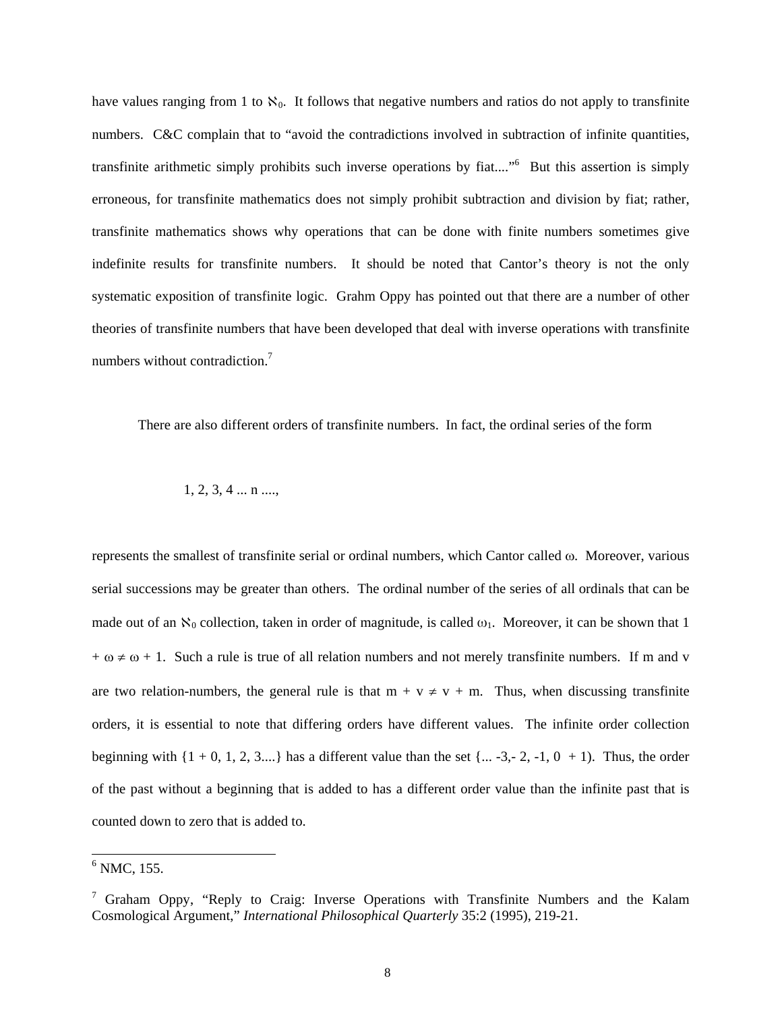have values ranging from 1 to  $\aleph_0$ . It follows that negative numbers and ratios do not apply to transfinite numbers. C&C complain that to "avoid the contradictions involved in subtraction of infinite quantities, transfinite arithmetic simply prohibits such inverse operations by fiat...."<sup>[6](#page-7-0)</sup> But this assertion is simply erroneous, for transfinite mathematics does not simply prohibit subtraction and division by fiat; rather, transfinite mathematics shows why operations that can be done with finite numbers sometimes give indefinite results for transfinite numbers. It should be noted that Cantor's theory is not the only systematic exposition of transfinite logic. Grahm Oppy has pointed out that there are a number of other theories of transfinite numbers that have been developed that deal with inverse operations with transfinite numbers without contradiction.<sup>[7](#page-7-1)</sup>

There are also different orders of transfinite numbers. In fact, the ordinal series of the form

 $1, 2, 3, 4, \ldots n,$ 

represents the smallest of transfinite serial or ordinal numbers, which Cantor called ω. Moreover, various serial successions may be greater than others. The ordinal number of the series of all ordinals that can be made out of an  $\aleph_0$  collection, taken in order of magnitude, is called  $\omega_1$ . Moreover, it can be shown that 1  $+ \omega \neq \omega + 1$ . Such a rule is true of all relation numbers and not merely transfinite numbers. If m and v are two relation-numbers, the general rule is that  $m + v \neq v + m$ . Thus, when discussing transfinite orders, it is essential to note that differing orders have different values. The infinite order collection beginning with  $\{1 + 0, 1, 2, 3... \}$  has a different value than the set  $\{\ldots -3, -2, -1, 0 + 1\}$ . Thus, the order of the past without a beginning that is added to has a different order value than the infinite past that is counted down to zero that is added to.

<span id="page-7-0"></span> $<sup>6</sup>$  NMC, 155.</sup>

<span id="page-7-1"></span><sup>7</sup> Graham Oppy, "Reply to Craig: Inverse Operations with Transfinite Numbers and the Kalam Cosmological Argument," *International Philosophical Quarterly* 35:2 (1995), 219-21.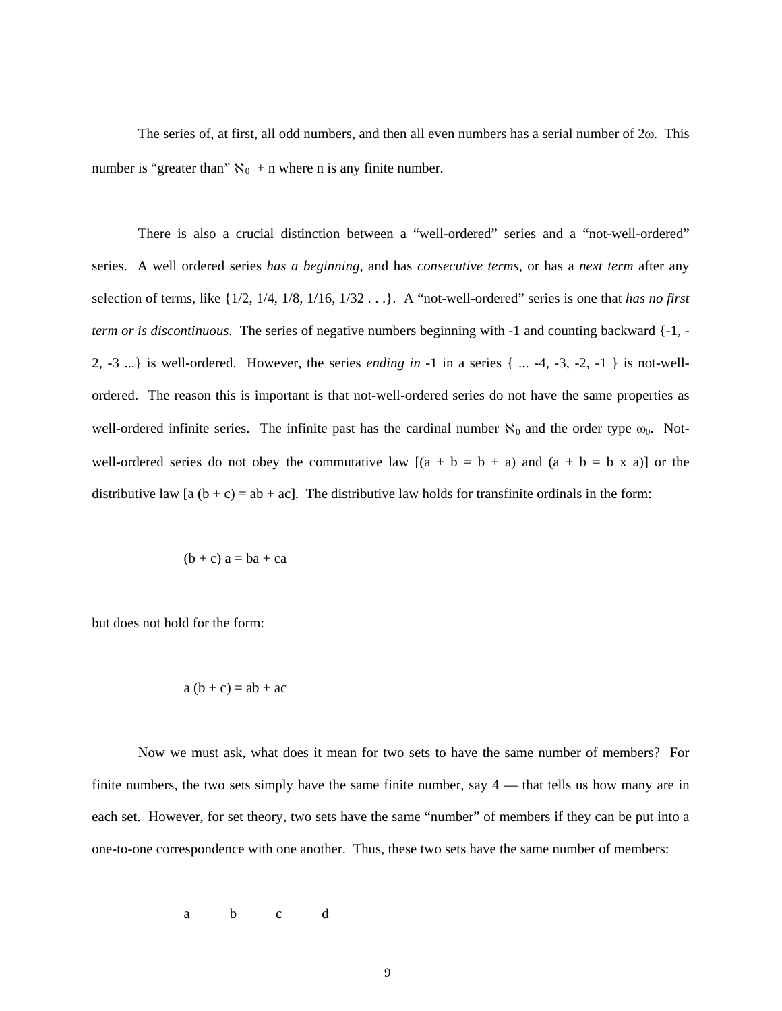The series of, at first, all odd numbers, and then all even numbers has a serial number of 2ω. This number is "greater than"  $\aleph_0$  + n where n is any finite number.

There is also a crucial distinction between a "well-ordered" series and a "not-well-ordered" series. A well ordered series *has a beginning*, and has *consecutive terms*, or has a *next term* after any selection of terms, like {1/2, 1/4, 1/8, 1/16, 1/32 . . .}. A "not-well-ordered" series is one that *has no first term or is discontinuous*. The series of negative numbers beginning with -1 and counting backward  $\{-1, -1\}$ 2, -3 ...} is well-ordered. However, the series *ending in* -1 in a series { ... -4, -3, -2, -1 } is not-wellordered. The reason this is important is that not-well-ordered series do not have the same properties as well-ordered infinite series. The infinite past has the cardinal number  $\aleph_0$  and the order type  $\omega_0$ . Notwell-ordered series do not obey the commutative law  $[(a + b = b + a)$  and  $(a + b = b \times a)]$  or the distributive law  $[a (b + c) = ab + ac]$ . The distributive law holds for transfinite ordinals in the form:

$$
(b + c) a = ba + ca
$$

but does not hold for the form:

$$
a (b + c) = ab + ac
$$

Now we must ask, what does it mean for two sets to have the same number of members? For finite numbers, the two sets simply have the same finite number, say 4 — that tells us how many are in each set. However, for set theory, two sets have the same "number" of members if they can be put into a one-to-one correspondence with one another. Thus, these two sets have the same number of members:

a b c d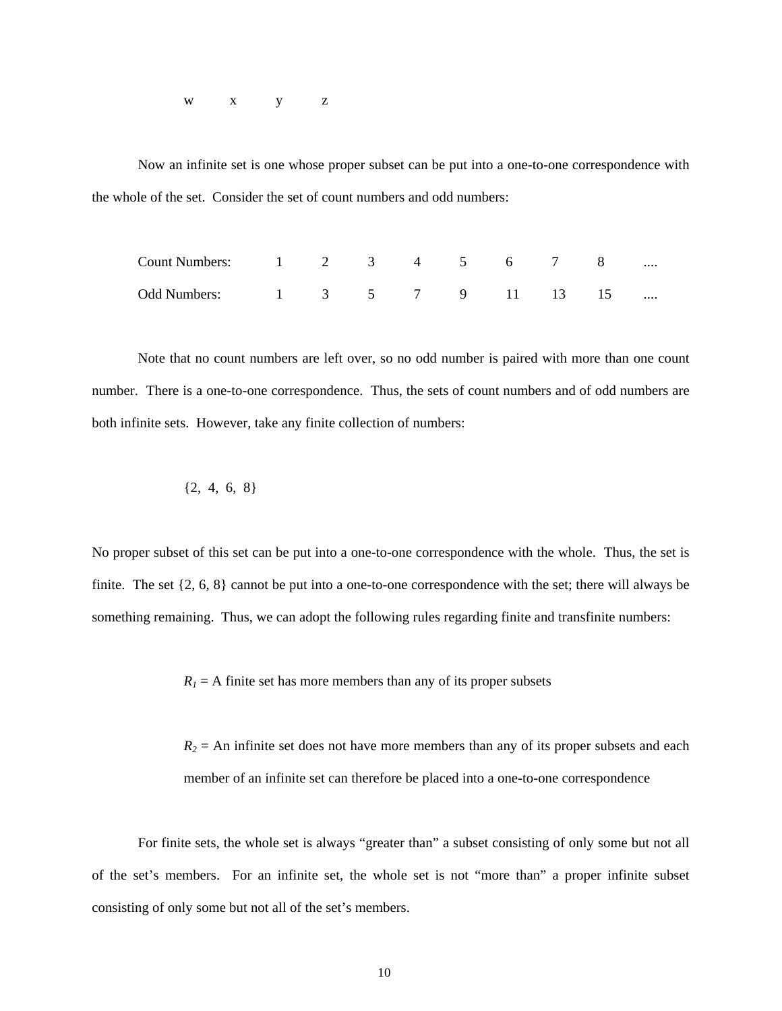w x y z

Now an infinite set is one whose proper subset can be put into a one-to-one correspondence with the whole of the set. Consider the set of count numbers and odd numbers:

| Count Numbers: 1 2 3 4 5 6 7 8  |  |  |  |  |  |
|---------------------------------|--|--|--|--|--|
| Odd Numbers: 1 3 5 7 9 11 13 15 |  |  |  |  |  |

Note that no count numbers are left over, so no odd number is paired with more than one count number. There is a one-to-one correspondence. Thus, the sets of count numbers and of odd numbers are both infinite sets. However, take any finite collection of numbers:

$$
\{2, 4, 6, 8\}
$$

No proper subset of this set can be put into a one-to-one correspondence with the whole. Thus, the set is finite. The set {2, 6, 8} cannot be put into a one-to-one correspondence with the set; there will always be something remaining. Thus, we can adopt the following rules regarding finite and transfinite numbers:

 $R_1 = A$  finite set has more members than any of its proper subsets

 $R_2$  = An infinite set does not have more members than any of its proper subsets and each member of an infinite set can therefore be placed into a one-to-one correspondence

For finite sets, the whole set is always "greater than" a subset consisting of only some but not all of the set's members. For an infinite set, the whole set is not "more than" a proper infinite subset consisting of only some but not all of the set's members.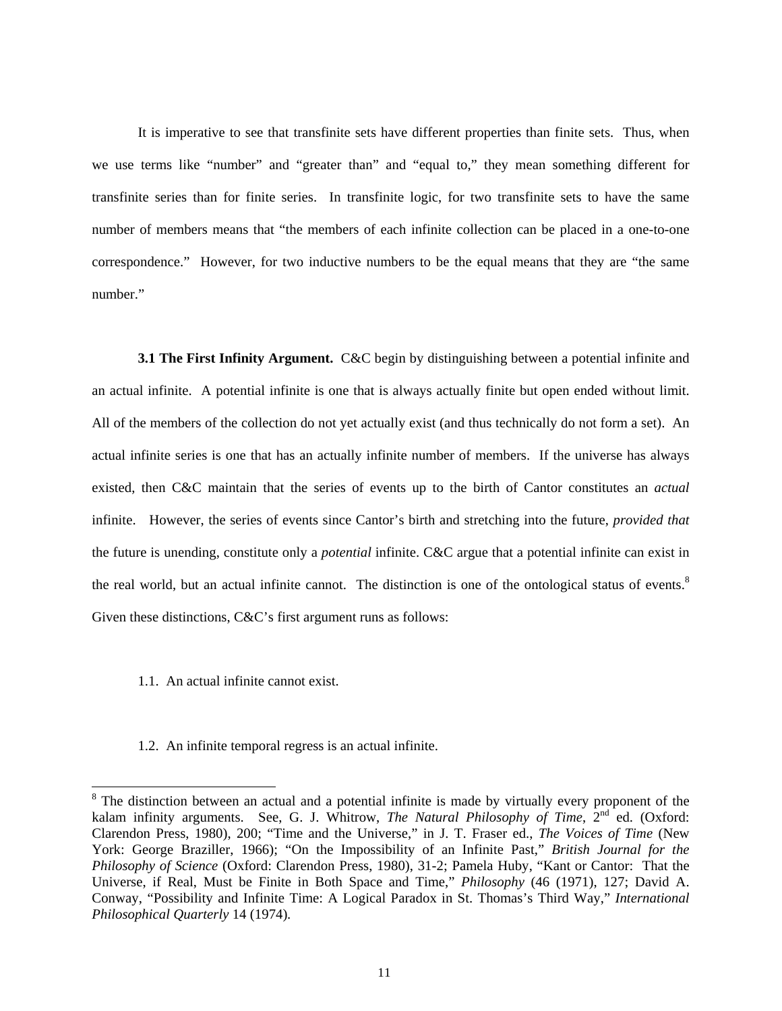It is imperative to see that transfinite sets have different properties than finite sets. Thus, when we use terms like "number" and "greater than" and "equal to," they mean something different for transfinite series than for finite series. In transfinite logic, for two transfinite sets to have the same number of members means that "the members of each infinite collection can be placed in a one-to-one correspondence." However, for two inductive numbers to be the equal means that they are "the same number."

**3.1 The First Infinity Argument.** C&C begin by distinguishing between a potential infinite and an actual infinite. A potential infinite is one that is always actually finite but open ended without limit. All of the members of the collection do not yet actually exist (and thus technically do not form a set). An actual infinite series is one that has an actually infinite number of members. If the universe has always existed, then C&C maintain that the series of events up to the birth of Cantor constitutes an *actual* infinite. However, the series of events since Cantor's birth and stretching into the future, *provided that* the future is unending, constitute only a *potential* infinite. C&C argue that a potential infinite can exist in the real world, but an actual infinite cannot. The distinction is one of the ontological status of events.<sup>8</sup> Given these distinctions, C&C's first argument runs as follows:

1.1. An actual infinite cannot exist.

 $\overline{a}$ 

1.2. An infinite temporal regress is an actual infinite.

<span id="page-10-0"></span><sup>&</sup>lt;sup>8</sup> The distinction between an actual and a potential infinite is made by virtually every proponent of the kalam infinity arguments. See, G. J. Whitrow, *The Natural Philosophy of Time*, 2<sup>nd</sup> ed. (Oxford: Clarendon Press, 1980), 200; "Time and the Universe," in J. T. Fraser ed., *The Voices of Time* (New York: George Braziller, 1966); "On the Impossibility of an Infinite Past," *British Journal for the Philosophy of Science* (Oxford: Clarendon Press, 1980), 31-2; Pamela Huby, "Kant or Cantor: That the Universe, if Real, Must be Finite in Both Space and Time," *Philosophy* (46 (1971), 127; David A. Conway, "Possibility and Infinite Time: A Logical Paradox in St. Thomas's Third Way," *International Philosophical Quarterly* 14 (1974)*.*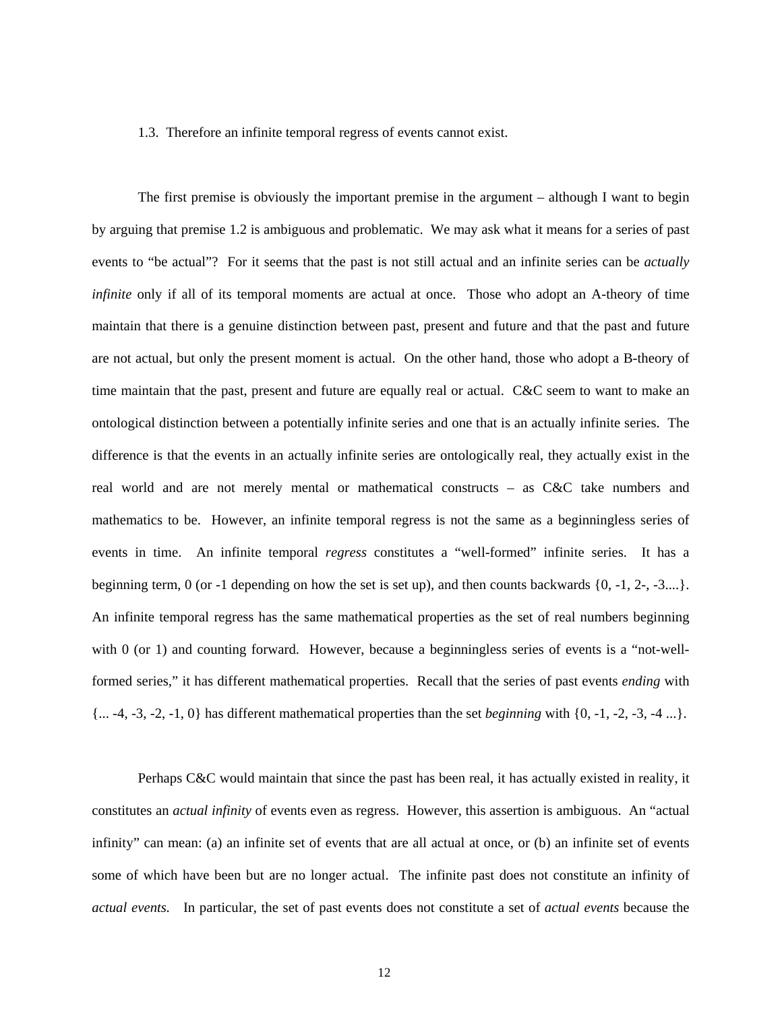#### 1.3. Therefore an infinite temporal regress of events cannot exist.

The first premise is obviously the important premise in the argument – although I want to begin by arguing that premise 1.2 is ambiguous and problematic. We may ask what it means for a series of past events to "be actual"? For it seems that the past is not still actual and an infinite series can be *actually infinite* only if all of its temporal moments are actual at once. Those who adopt an A-theory of time maintain that there is a genuine distinction between past, present and future and that the past and future are not actual, but only the present moment is actual. On the other hand, those who adopt a B-theory of time maintain that the past, present and future are equally real or actual. C&C seem to want to make an ontological distinction between a potentially infinite series and one that is an actually infinite series. The difference is that the events in an actually infinite series are ontologically real, they actually exist in the real world and are not merely mental or mathematical constructs – as C&C take numbers and mathematics to be. However, an infinite temporal regress is not the same as a beginningless series of events in time. An infinite temporal *regress* constitutes a "well-formed" infinite series. It has a beginning term, 0 (or -1 depending on how the set is set up), and then counts backwards  $\{0, -1, 2, -3, \ldots\}$ . An infinite temporal regress has the same mathematical properties as the set of real numbers beginning with 0 (or 1) and counting forward. However, because a beginningless series of events is a "not-wellformed series," it has different mathematical properties. Recall that the series of past events *ending* with {... -4, -3, -2, -1, 0} has different mathematical properties than the set *beginning* with {0, -1, -2, -3, -4 ...}.

Perhaps C&C would maintain that since the past has been real, it has actually existed in reality, it constitutes an *actual infinity* of events even as regress. However, this assertion is ambiguous. An "actual infinity" can mean: (a) an infinite set of events that are all actual at once, or (b) an infinite set of events some of which have been but are no longer actual. The infinite past does not constitute an infinity of *actual events.* In particular, the set of past events does not constitute a set of *actual events* because the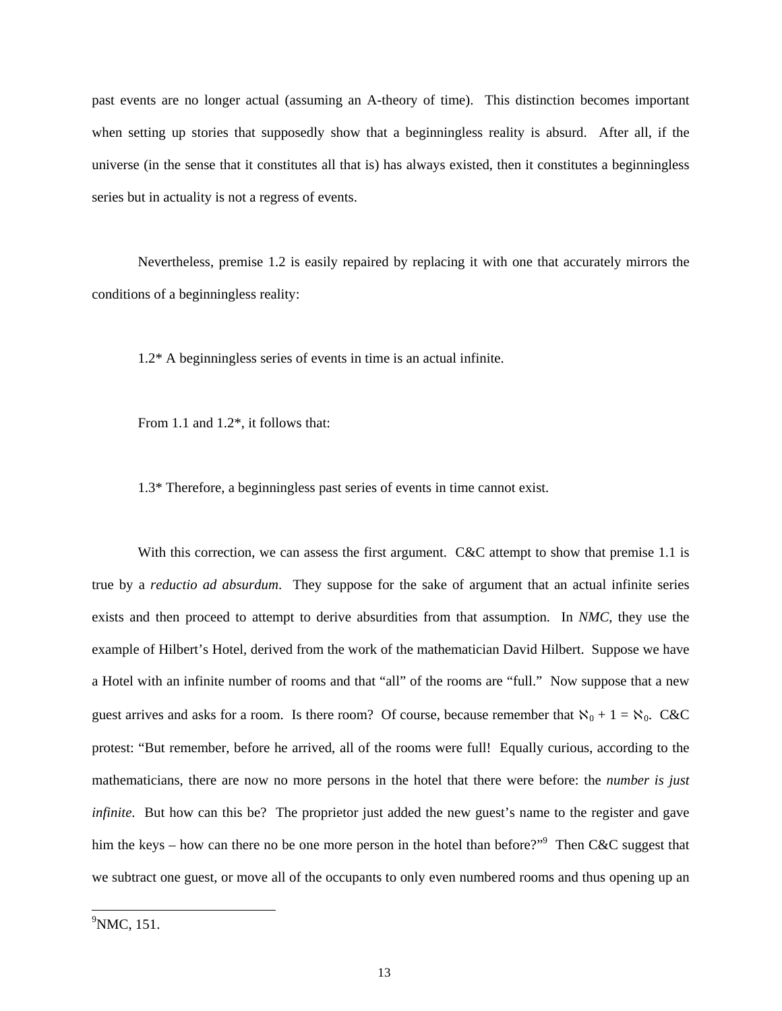past events are no longer actual (assuming an A-theory of time). This distinction becomes important when setting up stories that supposedly show that a beginningless reality is absurd. After all, if the universe (in the sense that it constitutes all that is) has always existed, then it constitutes a beginningless series but in actuality is not a regress of events.

Nevertheless, premise 1.2 is easily repaired by replacing it with one that accurately mirrors the conditions of a beginningless reality:

1.2\* A beginningless series of events in time is an actual infinite.

From 1.1 and 1.2\*, it follows that:

1.3\* Therefore, a beginningless past series of events in time cannot exist.

With this correction, we can assess the first argument. C&C attempt to show that premise 1.1 is true by a *reductio ad absurdum*. They suppose for the sake of argument that an actual infinite series exists and then proceed to attempt to derive absurdities from that assumption. In *NMC*, they use the example of Hilbert's Hotel, derived from the work of the mathematician David Hilbert. Suppose we have a Hotel with an infinite number of rooms and that "all" of the rooms are "full." Now suppose that a new guest arrives and asks for a room. Is there room? Of course, because remember that  $\aleph_0 + 1 = \aleph_0$ . C&C protest: "But remember, before he arrived, all of the rooms were full! Equally curious, according to the mathematicians, there are now no more persons in the hotel that there were before: the *number is just infinite*. But how can this be? The proprietor just added the new guest's name to the register and gave him the keys – how can there no be one more person in the hotel than before?"<sup>9</sup> Then C&C suggest that we subtract one guest, or move all of the occupants to only even numbered rooms and thus opening up an

<span id="page-12-0"></span> $^9$ NMC, 151.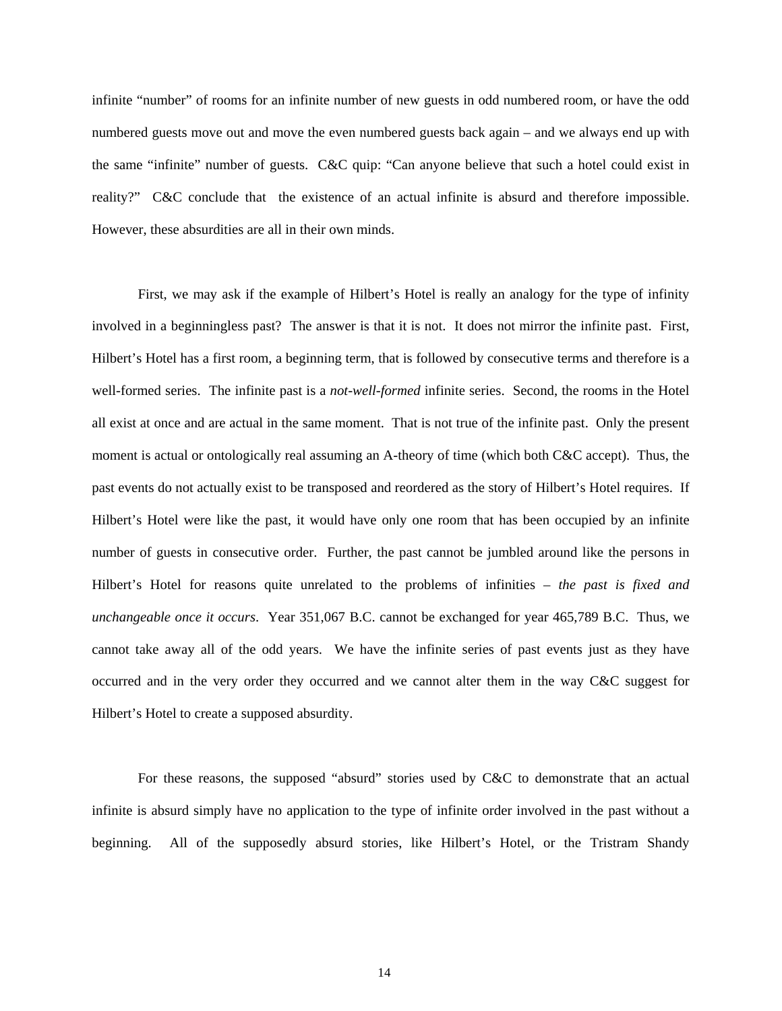infinite "number" of rooms for an infinite number of new guests in odd numbered room, or have the odd numbered guests move out and move the even numbered guests back again – and we always end up with the same "infinite" number of guests. C&C quip: "Can anyone believe that such a hotel could exist in reality?" C&C conclude that the existence of an actual infinite is absurd and therefore impossible. However, these absurdities are all in their own minds.

First, we may ask if the example of Hilbert's Hotel is really an analogy for the type of infinity involved in a beginningless past? The answer is that it is not. It does not mirror the infinite past. First, Hilbert's Hotel has a first room, a beginning term, that is followed by consecutive terms and therefore is a well-formed series. The infinite past is a *not-well-formed* infinite series. Second, the rooms in the Hotel all exist at once and are actual in the same moment. That is not true of the infinite past. Only the present moment is actual or ontologically real assuming an A-theory of time (which both C&C accept). Thus, the past events do not actually exist to be transposed and reordered as the story of Hilbert's Hotel requires. If Hilbert's Hotel were like the past, it would have only one room that has been occupied by an infinite number of guests in consecutive order. Further, the past cannot be jumbled around like the persons in Hilbert's Hotel for reasons quite unrelated to the problems of infinities – *the past is fixed and unchangeable once it occurs*. Year 351,067 B.C. cannot be exchanged for year 465,789 B.C. Thus, we cannot take away all of the odd years. We have the infinite series of past events just as they have occurred and in the very order they occurred and we cannot alter them in the way C&C suggest for Hilbert's Hotel to create a supposed absurdity.

For these reasons, the supposed "absurd" stories used by C&C to demonstrate that an actual infinite is absurd simply have no application to the type of infinite order involved in the past without a beginning. All of the supposedly absurd stories, like Hilbert's Hotel, or the Tristram Shandy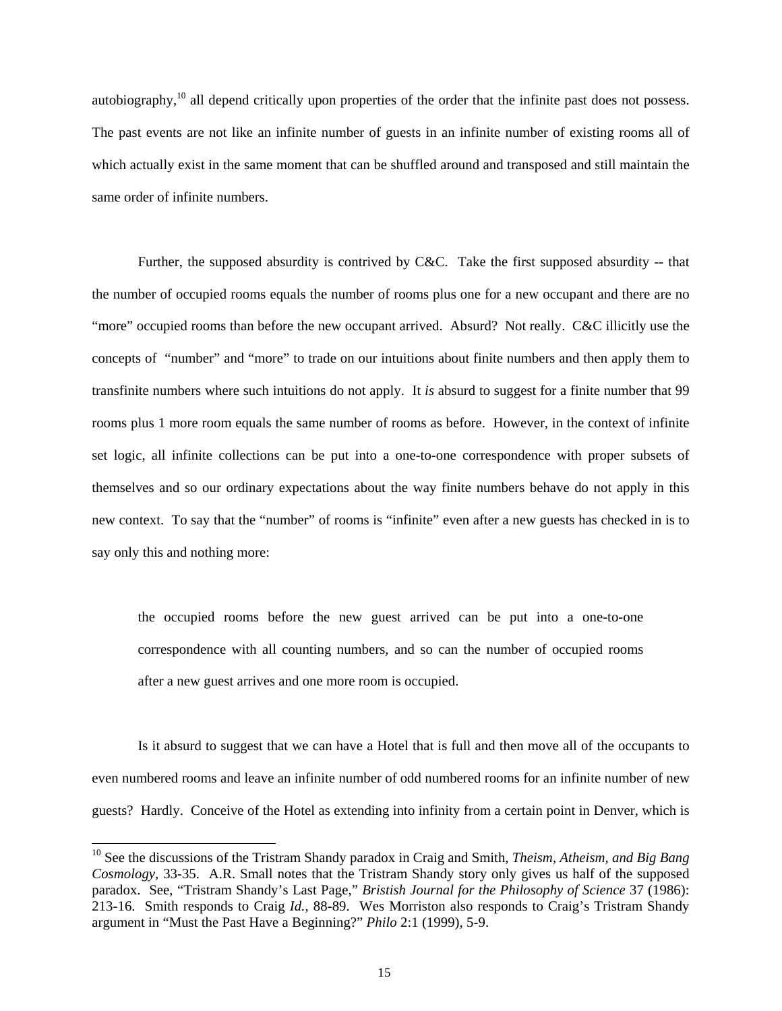autobiography,<sup>10</sup> all depend critically upon properties of the order that the infinite past does not possess. The past events are not like an infinite number of guests in an infinite number of existing rooms all of which actually exist in the same moment that can be shuffled around and transposed and still maintain the same order of infinite numbers.

Further, the supposed absurdity is contrived by C&C. Take the first supposed absurdity -- that the number of occupied rooms equals the number of rooms plus one for a new occupant and there are no "more" occupied rooms than before the new occupant arrived. Absurd? Not really. C&C illicitly use the concepts of "number" and "more" to trade on our intuitions about finite numbers and then apply them to transfinite numbers where such intuitions do not apply. It *is* absurd to suggest for a finite number that 99 rooms plus 1 more room equals the same number of rooms as before. However, in the context of infinite set logic, all infinite collections can be put into a one-to-one correspondence with proper subsets of themselves and so our ordinary expectations about the way finite numbers behave do not apply in this new context. To say that the "number" of rooms is "infinite" even after a new guests has checked in is to say only this and nothing more:

the occupied rooms before the new guest arrived can be put into a one-to-one correspondence with all counting numbers, and so can the number of occupied rooms after a new guest arrives and one more room is occupied.

Is it absurd to suggest that we can have a Hotel that is full and then move all of the occupants to even numbered rooms and leave an infinite number of odd numbered rooms for an infinite number of new guests? Hardly. Conceive of the Hotel as extending into infinity from a certain point in Denver, which is

<span id="page-14-0"></span><sup>10</sup> See the discussions of the Tristram Shandy paradox in Craig and Smith, *Theism, Atheism, and Big Bang Cosmology*, 33-35. A.R. Small notes that the Tristram Shandy story only gives us half of the supposed paradox. See, "Tristram Shandy's Last Page," *Bristish Journal for the Philosophy of Science* 37 (1986): 213-16. Smith responds to Craig *Id.*, 88-89. Wes Morriston also responds to Craig's Tristram Shandy argument in "Must the Past Have a Beginning?" *Philo* 2:1 (1999), 5-9.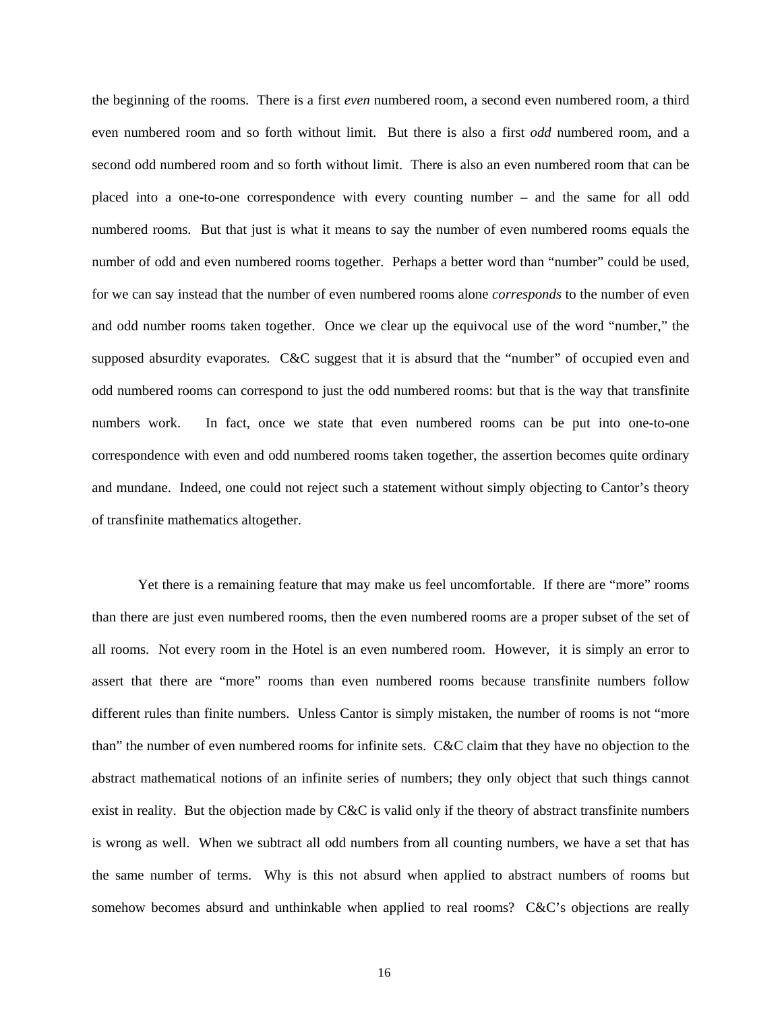the beginning of the rooms. There is a first *even* numbered room, a second even numbered room, a third even numbered room and so forth without limit. But there is also a first *odd* numbered room, and a second odd numbered room and so forth without limit. There is also an even numbered room that can be placed into a one-to-one correspondence with every counting number – and the same for all odd numbered rooms. But that just is what it means to say the number of even numbered rooms equals the number of odd and even numbered rooms together. Perhaps a better word than "number" could be used, for we can say instead that the number of even numbered rooms alone *corresponds* to the number of even and odd number rooms taken together. Once we clear up the equivocal use of the word "number," the supposed absurdity evaporates. C&C suggest that it is absurd that the "number" of occupied even and odd numbered rooms can correspond to just the odd numbered rooms: but that is the way that transfinite numbers work. In fact, once we state that even numbered rooms can be put into one-to-one correspondence with even and odd numbered rooms taken together, the assertion becomes quite ordinary and mundane. Indeed, one could not reject such a statement without simply objecting to Cantor's theory of transfinite mathematics altogether.

Yet there is a remaining feature that may make us feel uncomfortable. If there are "more" rooms than there are just even numbered rooms, then the even numbered rooms are a proper subset of the set of all rooms. Not every room in the Hotel is an even numbered room. However, it is simply an error to assert that there are "more" rooms than even numbered rooms because transfinite numbers follow different rules than finite numbers. Unless Cantor is simply mistaken, the number of rooms is not "more than" the number of even numbered rooms for infinite sets. C&C claim that they have no objection to the abstract mathematical notions of an infinite series of numbers; they only object that such things cannot exist in reality. But the objection made by C&C is valid only if the theory of abstract transfinite numbers is wrong as well. When we subtract all odd numbers from all counting numbers, we have a set that has the same number of terms. Why is this not absurd when applied to abstract numbers of rooms but somehow becomes absurd and unthinkable when applied to real rooms? C&C's objections are really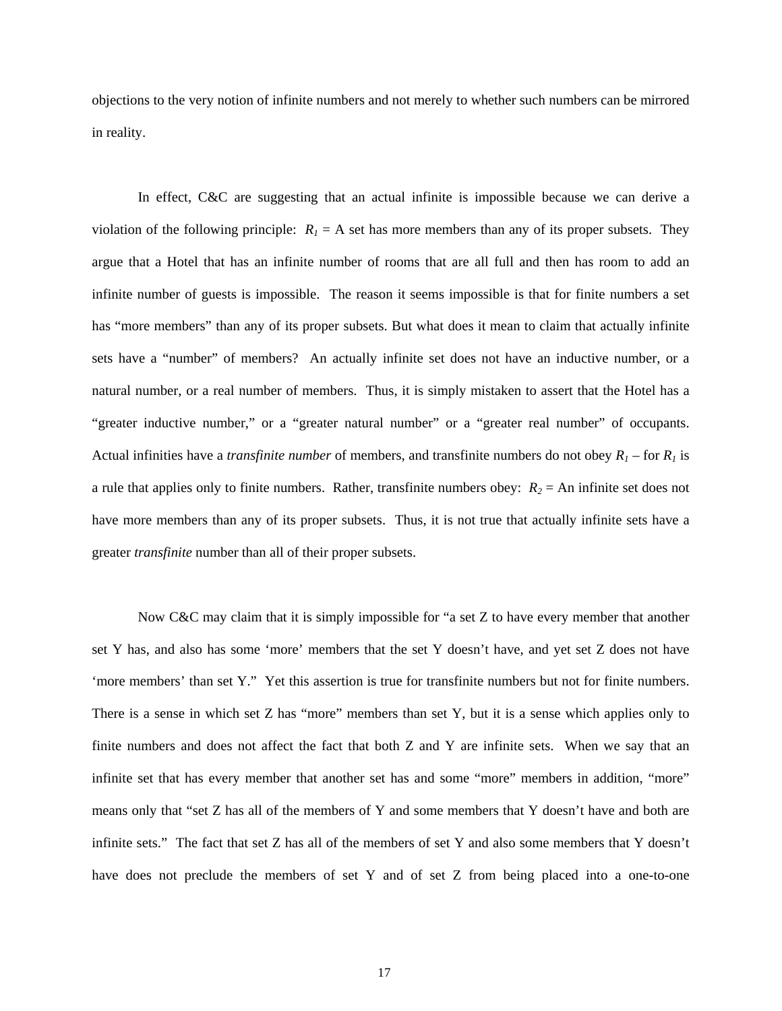objections to the very notion of infinite numbers and not merely to whether such numbers can be mirrored in reality.

In effect, C&C are suggesting that an actual infinite is impossible because we can derive a violation of the following principle:  $R_1 = A$  set has more members than any of its proper subsets. They argue that a Hotel that has an infinite number of rooms that are all full and then has room to add an infinite number of guests is impossible. The reason it seems impossible is that for finite numbers a set has "more members" than any of its proper subsets. But what does it mean to claim that actually infinite sets have a "number" of members? An actually infinite set does not have an inductive number, or a natural number, or a real number of members. Thus, it is simply mistaken to assert that the Hotel has a "greater inductive number," or a "greater natural number" or a "greater real number" of occupants. Actual infinities have a *transfinite number* of members, and transfinite numbers do not obey  $R_1$  – for  $R_1$  is a rule that applies only to finite numbers. Rather, transfinite numbers obey:  $R_2 = An$  infinite set does not have more members than any of its proper subsets. Thus, it is not true that actually infinite sets have a greater *transfinite* number than all of their proper subsets.

Now C&C may claim that it is simply impossible for "a set Z to have every member that another set Y has, and also has some 'more' members that the set Y doesn't have, and yet set Z does not have 'more members' than set Y." Yet this assertion is true for transfinite numbers but not for finite numbers. There is a sense in which set Z has "more" members than set Y, but it is a sense which applies only to finite numbers and does not affect the fact that both Z and Y are infinite sets. When we say that an infinite set that has every member that another set has and some "more" members in addition, "more" means only that "set Z has all of the members of Y and some members that Y doesn't have and both are infinite sets." The fact that set Z has all of the members of set Y and also some members that Y doesn't have does not preclude the members of set Y and of set Z from being placed into a one-to-one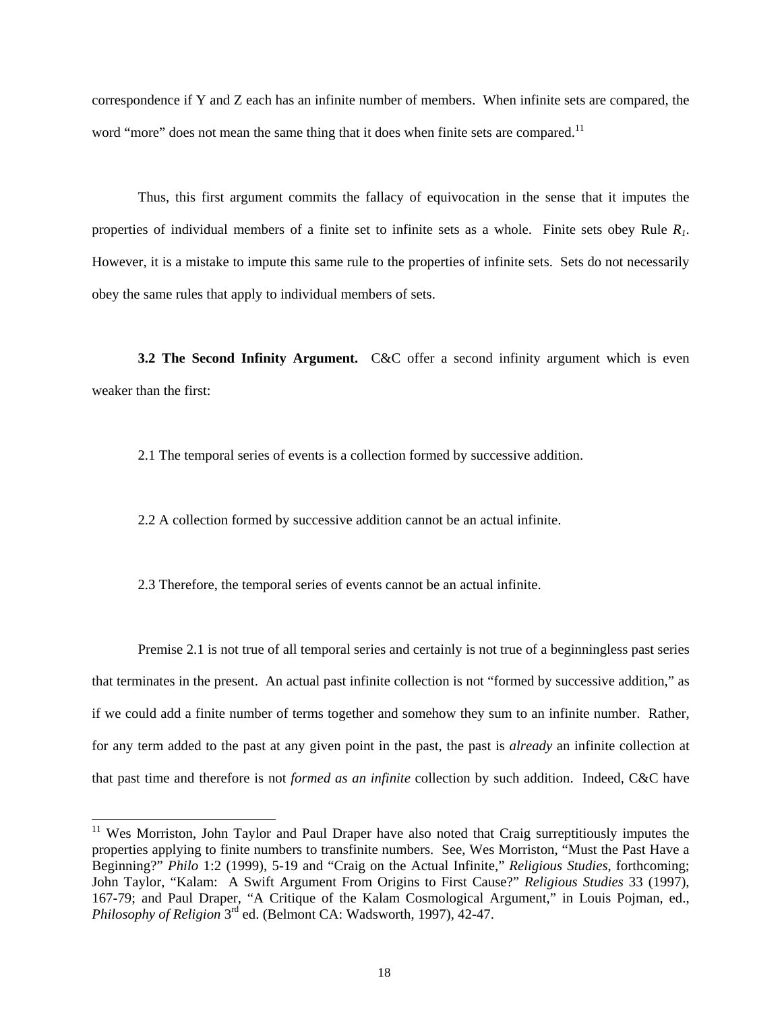correspondence if Y and Z each has an infinite number of members. When infinite sets are compared, the word "more" does not mean the same thing that it does when finite sets are compared.<sup>[11](#page-17-0)</sup>

Thus, this first argument commits the fallacy of equivocation in the sense that it imputes the properties of individual members of a finite set to infinite sets as a whole. Finite sets obey Rule *R1*. However, it is a mistake to impute this same rule to the properties of infinite sets. Sets do not necessarily obey the same rules that apply to individual members of sets.

**3.2 The Second Infinity Argument.** C&C offer a second infinity argument which is even weaker than the first:

2.1 The temporal series of events is a collection formed by successive addition.

2.2 A collection formed by successive addition cannot be an actual infinite.

2.3 Therefore, the temporal series of events cannot be an actual infinite.

l

Premise 2.1 is not true of all temporal series and certainly is not true of a beginningless past series that terminates in the present. An actual past infinite collection is not "formed by successive addition," as if we could add a finite number of terms together and somehow they sum to an infinite number. Rather, for any term added to the past at any given point in the past, the past is *already* an infinite collection at that past time and therefore is not *formed as an infinite* collection by such addition. Indeed, C&C have

<span id="page-17-0"></span><sup>&</sup>lt;sup>11</sup> Wes Morriston, John Taylor and Paul Draper have also noted that Craig surreptitiously imputes the properties applying to finite numbers to transfinite numbers. See, Wes Morriston, "Must the Past Have a Beginning?" *Philo* 1:2 (1999), 5-19 and "Craig on the Actual Infinite," *Religious Studies*, forthcoming; John Taylor, "Kalam: A Swift Argument From Origins to First Cause?" *Religious Studies* 33 (1997), 167-79; and Paul Draper, "A Critique of the Kalam Cosmological Argument," in Louis Pojman, ed., *Philosophy of Religion* 3<sup>rd</sup> ed. (Belmont CA: Wadsworth, 1997), 42-47.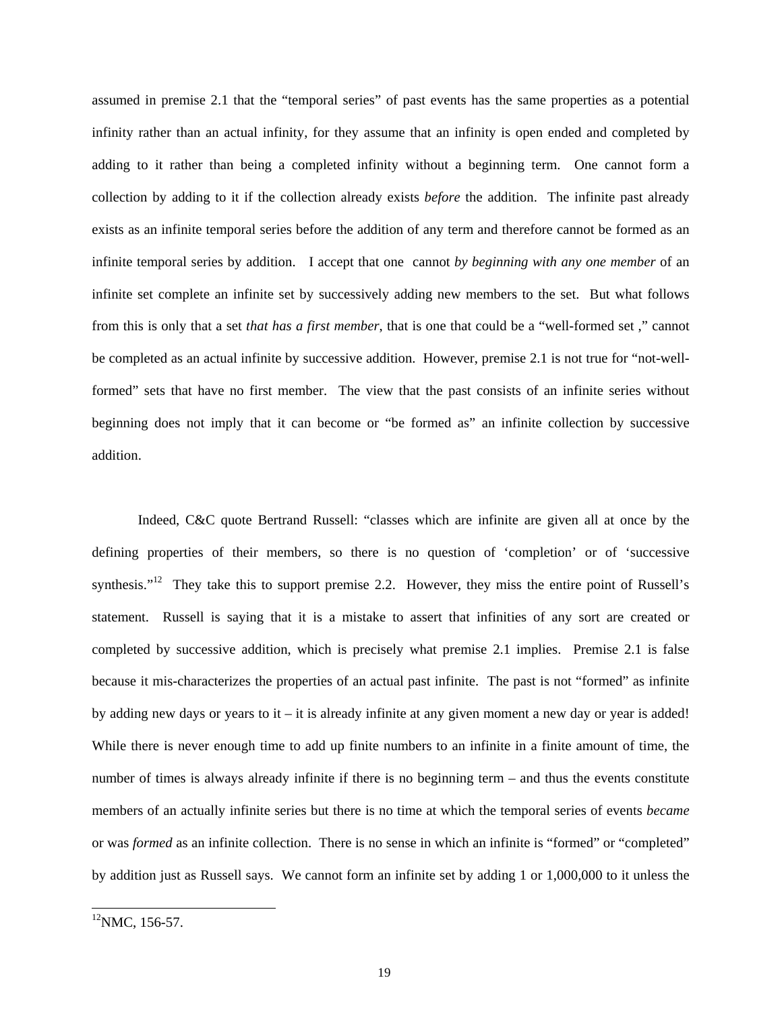assumed in premise 2.1 that the "temporal series" of past events has the same properties as a potential infinity rather than an actual infinity, for they assume that an infinity is open ended and completed by adding to it rather than being a completed infinity without a beginning term. One cannot form a collection by adding to it if the collection already exists *before* the addition. The infinite past already exists as an infinite temporal series before the addition of any term and therefore cannot be formed as an infinite temporal series by addition. I accept that one cannot *by beginning with any one member* of an infinite set complete an infinite set by successively adding new members to the set. But what follows from this is only that a set *that has a first member*, that is one that could be a "well-formed set ," cannot be completed as an actual infinite by successive addition. However, premise 2.1 is not true for "not-wellformed" sets that have no first member. The view that the past consists of an infinite series without beginning does not imply that it can become or "be formed as" an infinite collection by successive addition.

Indeed, C&C quote Bertrand Russell: "classes which are infinite are given all at once by the defining properties of their members, so there is no question of 'completion' or of 'successive synthesis."<sup>12</sup> They take this to support premise 2.2. However, they miss the entire point of Russell's statement. Russell is saying that it is a mistake to assert that infinities of any sort are created or completed by successive addition, which is precisely what premise 2.1 implies. Premise 2.1 is false because it mis-characterizes the properties of an actual past infinite. The past is not "formed" as infinite by adding new days or years to it – it is already infinite at any given moment a new day or year is added! While there is never enough time to add up finite numbers to an infinite in a finite amount of time, the number of times is always already infinite if there is no beginning term – and thus the events constitute members of an actually infinite series but there is no time at which the temporal series of events *became* or was *formed* as an infinite collection. There is no sense in which an infinite is "formed" or "completed" by addition just as Russell says. We cannot form an infinite set by adding 1 or 1,000,000 to it unless the

<span id="page-18-0"></span> $^{12}$ NMC, 156-57.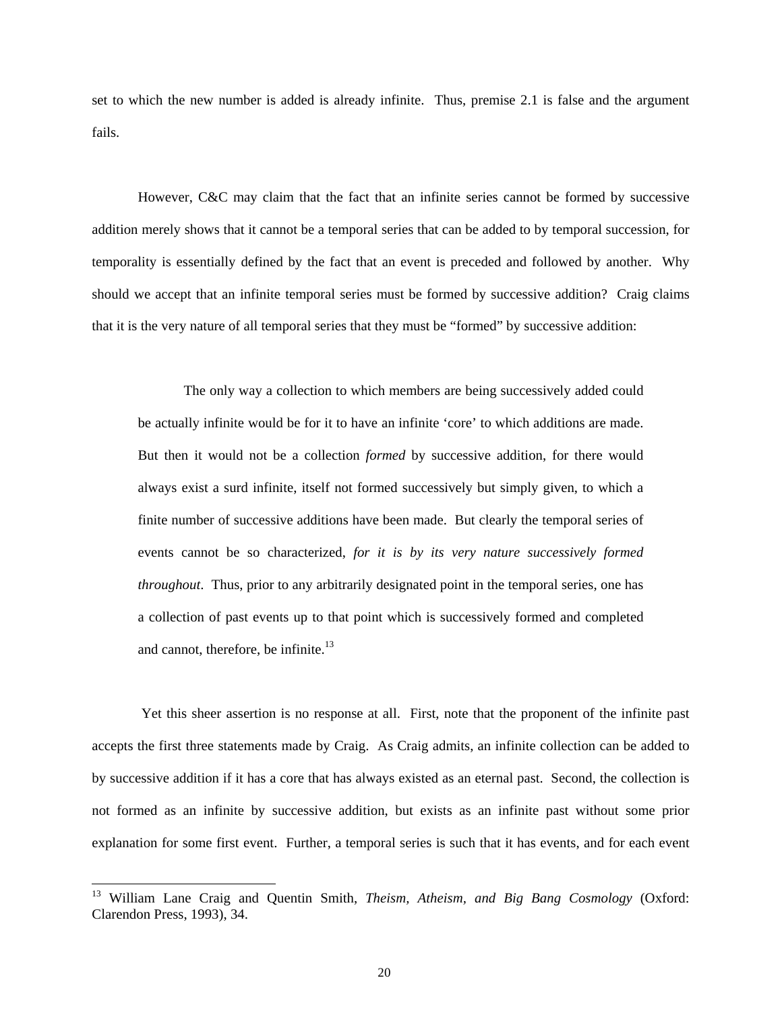set to which the new number is added is already infinite. Thus, premise 2.1 is false and the argument fails.

However, C&C may claim that the fact that an infinite series cannot be formed by successive addition merely shows that it cannot be a temporal series that can be added to by temporal succession, for temporality is essentially defined by the fact that an event is preceded and followed by another. Why should we accept that an infinite temporal series must be formed by successive addition? Craig claims that it is the very nature of all temporal series that they must be "formed" by successive addition:

The only way a collection to which members are being successively added could be actually infinite would be for it to have an infinite 'core' to which additions are made. But then it would not be a collection *formed* by successive addition, for there would always exist a surd infinite, itself not formed successively but simply given, to which a finite number of successive additions have been made. But clearly the temporal series of events cannot be so characterized, *for it is by its very nature successively formed throughout*. Thus, prior to any arbitrarily designated point in the temporal series, one has a collection of past events up to that point which is successively formed and completed and cannot, therefore, be infinite.<sup>13</sup>

Yet this sheer assertion is no response at all. First, note that the proponent of the infinite past accepts the first three statements made by Craig. As Craig admits, an infinite collection can be added to by successive addition if it has a core that has always existed as an eternal past. Second, the collection is not formed as an infinite by successive addition, but exists as an infinite past without some prior explanation for some first event. Further, a temporal series is such that it has events, and for each event

<span id="page-19-0"></span><sup>13</sup> William Lane Craig and Quentin Smith, *Theism, Atheism, and Big Bang Cosmology* (Oxford: Clarendon Press, 1993), 34.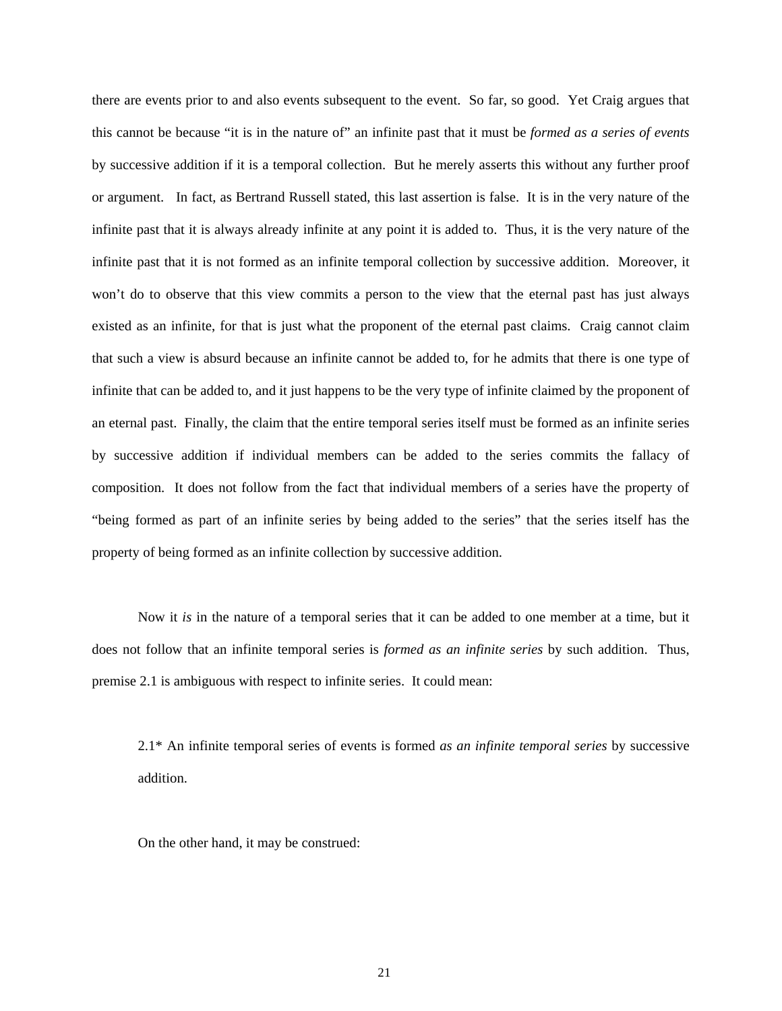there are events prior to and also events subsequent to the event. So far, so good. Yet Craig argues that this cannot be because "it is in the nature of" an infinite past that it must be *formed as a series of events* by successive addition if it is a temporal collection. But he merely asserts this without any further proof or argument. In fact, as Bertrand Russell stated, this last assertion is false. It is in the very nature of the infinite past that it is always already infinite at any point it is added to. Thus, it is the very nature of the infinite past that it is not formed as an infinite temporal collection by successive addition. Moreover, it won't do to observe that this view commits a person to the view that the eternal past has just always existed as an infinite, for that is just what the proponent of the eternal past claims. Craig cannot claim that such a view is absurd because an infinite cannot be added to, for he admits that there is one type of infinite that can be added to, and it just happens to be the very type of infinite claimed by the proponent of an eternal past. Finally, the claim that the entire temporal series itself must be formed as an infinite series by successive addition if individual members can be added to the series commits the fallacy of composition. It does not follow from the fact that individual members of a series have the property of "being formed as part of an infinite series by being added to the series" that the series itself has the property of being formed as an infinite collection by successive addition.

 Now it *is* in the nature of a temporal series that it can be added to one member at a time, but it does not follow that an infinite temporal series is *formed as an infinite series* by such addition. Thus, premise 2.1 is ambiguous with respect to infinite series. It could mean:

2.1\* An infinite temporal series of events is formed *as an infinite temporal series* by successive addition.

On the other hand, it may be construed: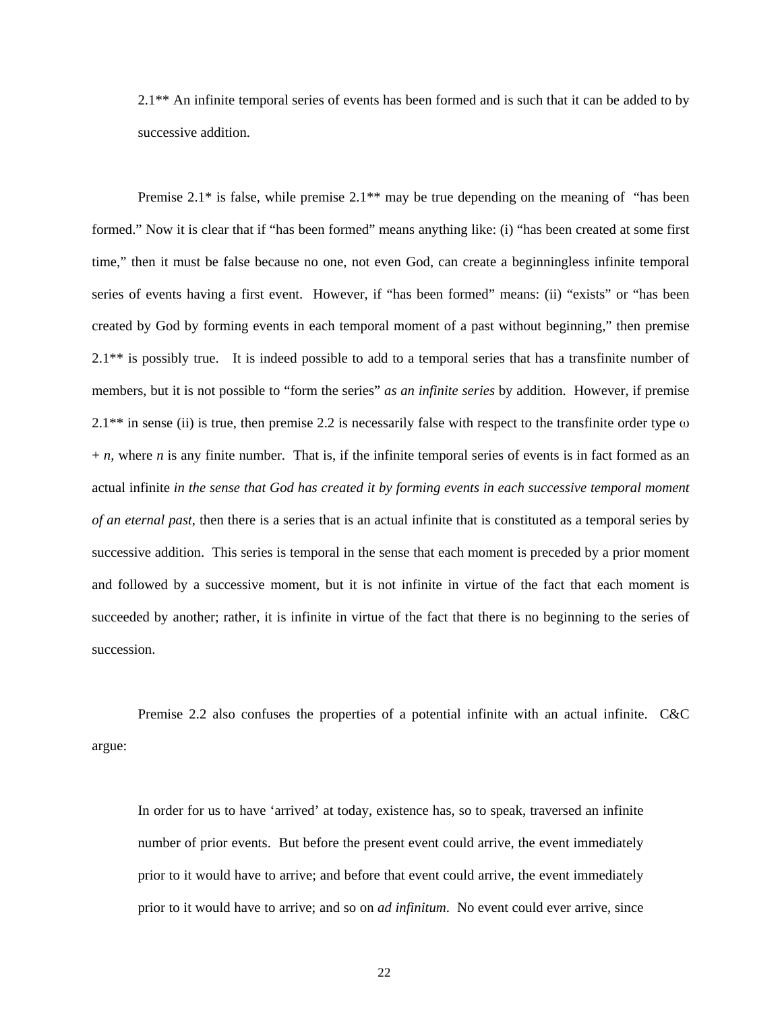2.1\*\* An infinite temporal series of events has been formed and is such that it can be added to by successive addition.

Premise  $2.1^*$  is false, while premise  $2.1^{**}$  may be true depending on the meaning of "has been formed." Now it is clear that if "has been formed" means anything like: (i) "has been created at some first time," then it must be false because no one, not even God, can create a beginningless infinite temporal series of events having a first event. However, if "has been formed" means: (ii) "exists" or "has been created by God by forming events in each temporal moment of a past without beginning," then premise 2.1\*\* is possibly true. It is indeed possible to add to a temporal series that has a transfinite number of members, but it is not possible to "form the series" *as an infinite series* by addition. However, if premise  $2.1^{**}$  in sense (ii) is true, then premise 2.2 is necessarily false with respect to the transfinite order type  $\omega$  $+ n$ , where *n* is any finite number. That is, if the infinite temporal series of events is in fact formed as an actual infinite *in the sense that God has created it by forming events in each successive temporal moment of an eternal past*, then there is a series that is an actual infinite that is constituted as a temporal series by successive addition. This series is temporal in the sense that each moment is preceded by a prior moment and followed by a successive moment, but it is not infinite in virtue of the fact that each moment is succeeded by another; rather, it is infinite in virtue of the fact that there is no beginning to the series of succession.

Premise 2.2 also confuses the properties of a potential infinite with an actual infinite. C&C argue:

In order for us to have 'arrived' at today, existence has, so to speak, traversed an infinite number of prior events. But before the present event could arrive, the event immediately prior to it would have to arrive; and before that event could arrive, the event immediately prior to it would have to arrive; and so on *ad infinitum*. No event could ever arrive, since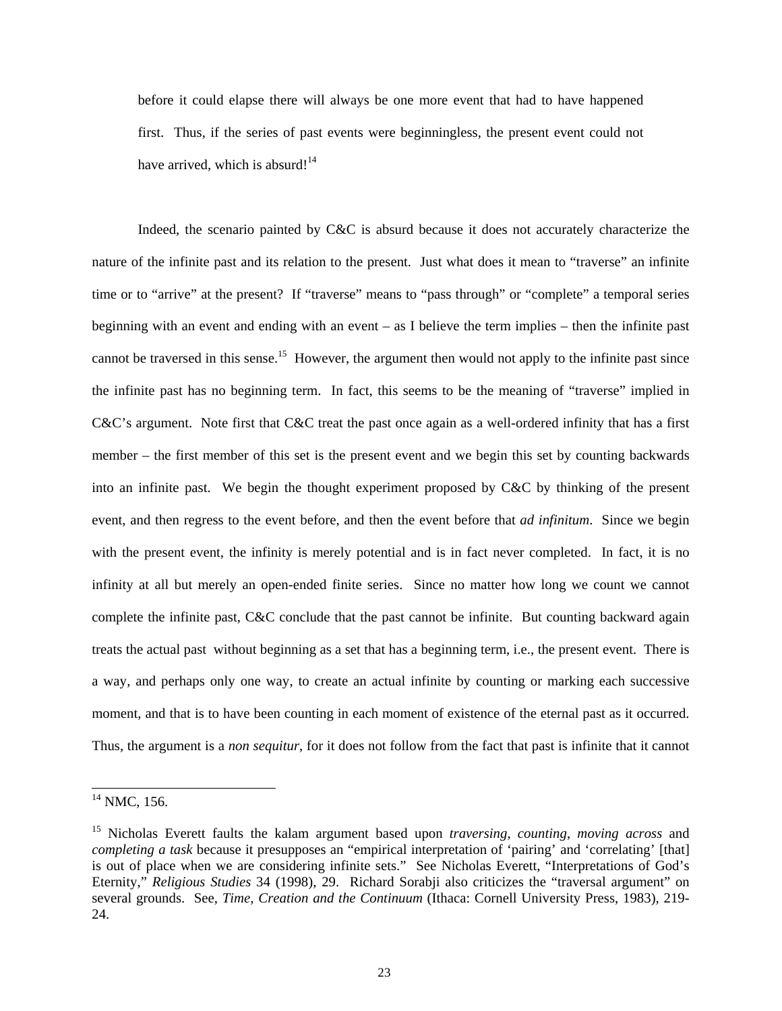before it could elapse there will always be one more event that had to have happened first. Thus, if the series of past events were beginningless, the present event could not have arrived, which is absurd!<sup>[14](#page-22-0)</sup>

Indeed, the scenario painted by C&C is absurd because it does not accurately characterize the nature of the infinite past and its relation to the present. Just what does it mean to "traverse" an infinite time or to "arrive" at the present? If "traverse" means to "pass through" or "complete" a temporal series beginning with an event and ending with an event – as I believe the term implies – then the infinite past cannot be traversed in this sense.<sup>15</sup> However, the argument then would not apply to the infinite past since the infinite past has no beginning term. In fact, this seems to be the meaning of "traverse" implied in C&C's argument. Note first that C&C treat the past once again as a well-ordered infinity that has a first member – the first member of this set is the present event and we begin this set by counting backwards into an infinite past. We begin the thought experiment proposed by C&C by thinking of the present event, and then regress to the event before, and then the event before that *ad infinitum*. Since we begin with the present event, the infinity is merely potential and is in fact never completed. In fact, it is no infinity at all but merely an open-ended finite series. Since no matter how long we count we cannot complete the infinite past, C&C conclude that the past cannot be infinite. But counting backward again treats the actual past without beginning as a set that has a beginning term, i.e., the present event. There is a way, and perhaps only one way, to create an actual infinite by counting or marking each successive moment, and that is to have been counting in each moment of existence of the eternal past as it occurred. Thus, the argument is a *non sequitur*, for it does not follow from the fact that past is infinite that it cannot

<span id="page-22-0"></span> $14$  NMC, 156.

<span id="page-22-1"></span><sup>15</sup> Nicholas Everett faults the kalam argument based upon *traversing*, *counting*, *moving across* and *completing a task* because it presupposes an "empirical interpretation of 'pairing' and 'correlating' [that] is out of place when we are considering infinite sets." See Nicholas Everett, "Interpretations of God's Eternity," *Religious Studies* 34 (1998), 29. Richard Sorabji also criticizes the "traversal argument" on several grounds. See, *Time, Creation and the Continuum* (Ithaca: Cornell University Press, 1983), 219- 24.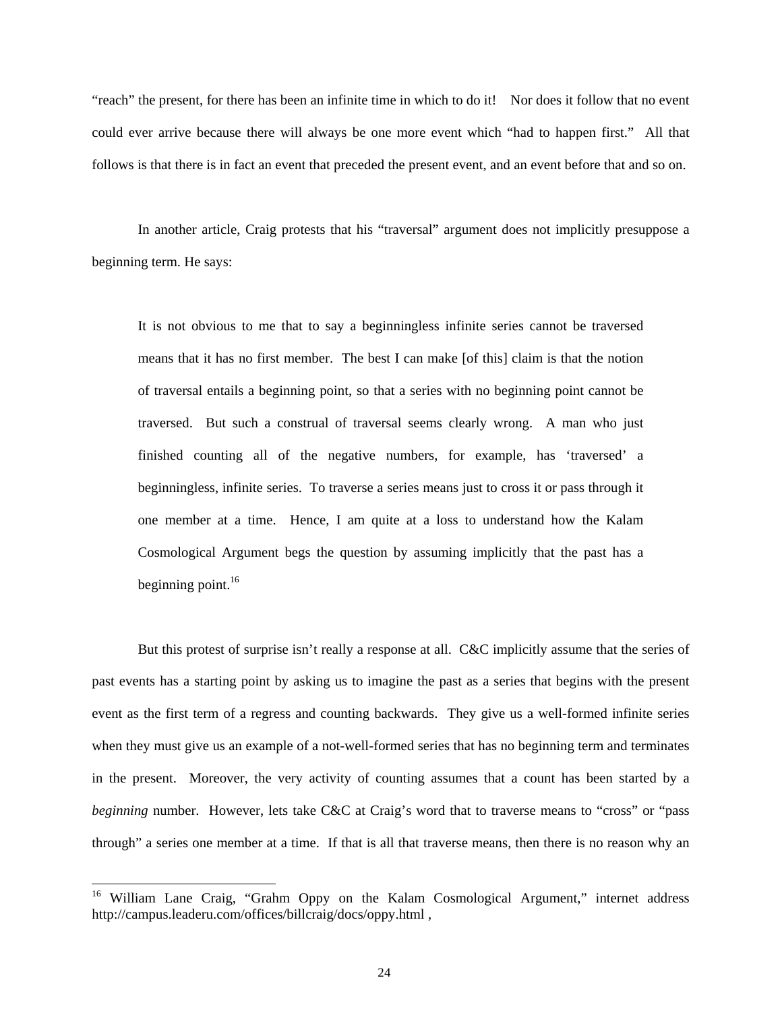"reach" the present, for there has been an infinite time in which to do it! Nor does it follow that no event could ever arrive because there will always be one more event which "had to happen first." All that follows is that there is in fact an event that preceded the present event, and an event before that and so on.

In another article, Craig protests that his "traversal" argument does not implicitly presuppose a beginning term. He says:

It is not obvious to me that to say a beginningless infinite series cannot be traversed means that it has no first member. The best I can make [of this] claim is that the notion of traversal entails a beginning point, so that a series with no beginning point cannot be traversed. But such a construal of traversal seems clearly wrong. A man who just finished counting all of the negative numbers, for example, has 'traversed' a beginningless, infinite series. To traverse a series means just to cross it or pass through it one member at a time. Hence, I am quite at a loss to understand how the Kalam Cosmological Argument begs the question by assuming implicitly that the past has a beginning point. $16$ 

But this protest of surprise isn't really a response at all. C&C implicitly assume that the series of past events has a starting point by asking us to imagine the past as a series that begins with the present event as the first term of a regress and counting backwards. They give us a well-formed infinite series when they must give us an example of a not-well-formed series that has no beginning term and terminates in the present. Moreover, the very activity of counting assumes that a count has been started by a *beginning* number. However, lets take C&C at Craig's word that to traverse means to "cross" or "pass through" a series one member at a time. If that is all that traverse means, then there is no reason why an

<span id="page-23-0"></span><sup>&</sup>lt;sup>16</sup> William Lane Craig, "Grahm Oppy on the Kalam Cosmological Argument," internet address http://campus.leaderu.com/offices/billcraig/docs/oppy.html ,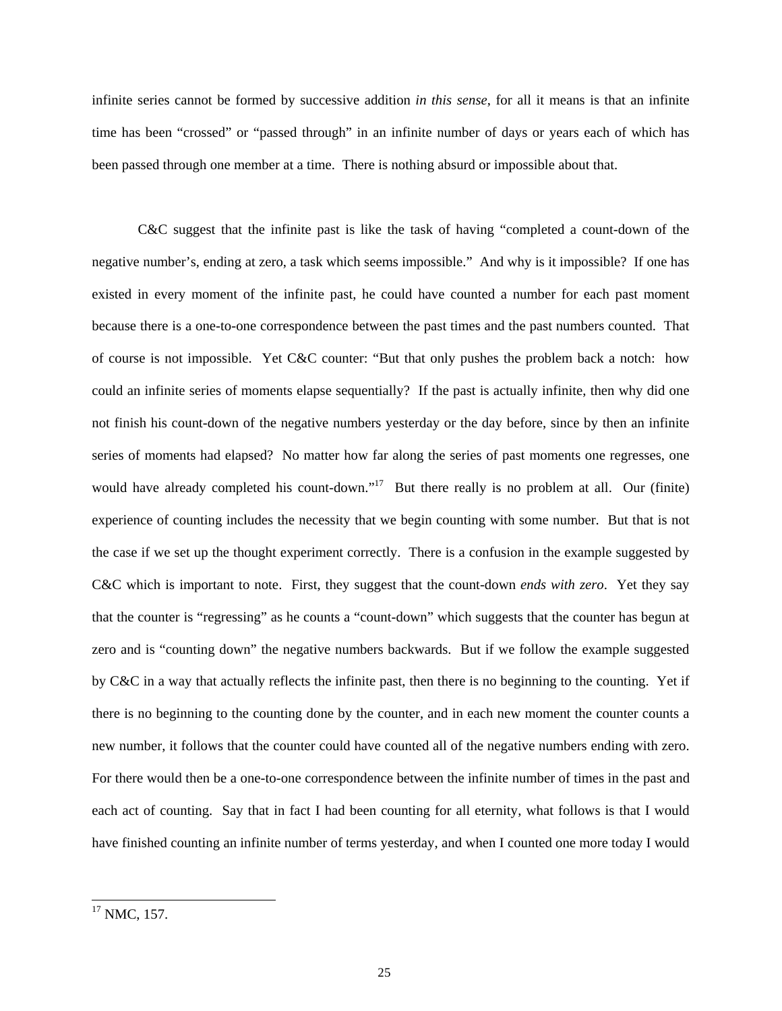infinite series cannot be formed by successive addition *in this sense*, for all it means is that an infinite time has been "crossed" or "passed through" in an infinite number of days or years each of which has been passed through one member at a time. There is nothing absurd or impossible about that.

C&C suggest that the infinite past is like the task of having "completed a count-down of the negative number's, ending at zero, a task which seems impossible." And why is it impossible? If one has existed in every moment of the infinite past, he could have counted a number for each past moment because there is a one-to-one correspondence between the past times and the past numbers counted. That of course is not impossible. Yet C&C counter: "But that only pushes the problem back a notch: how could an infinite series of moments elapse sequentially? If the past is actually infinite, then why did one not finish his count-down of the negative numbers yesterday or the day before, since by then an infinite series of moments had elapsed? No matter how far along the series of past moments one regresses, one would have already completed his count-down."<sup>17</sup> But there really is no problem at all. Our (finite) experience of counting includes the necessity that we begin counting with some number. But that is not the case if we set up the thought experiment correctly. There is a confusion in the example suggested by C&C which is important to note. First, they suggest that the count-down *ends with zero*. Yet they say that the counter is "regressing" as he counts a "count-down" which suggests that the counter has begun at zero and is "counting down" the negative numbers backwards. But if we follow the example suggested by C&C in a way that actually reflects the infinite past, then there is no beginning to the counting. Yet if there is no beginning to the counting done by the counter, and in each new moment the counter counts a new number, it follows that the counter could have counted all of the negative numbers ending with zero. For there would then be a one-to-one correspondence between the infinite number of times in the past and each act of counting. Say that in fact I had been counting for all eternity, what follows is that I would have finished counting an infinite number of terms yesterday, and when I counted one more today I would

<span id="page-24-0"></span> $17$  NMC, 157.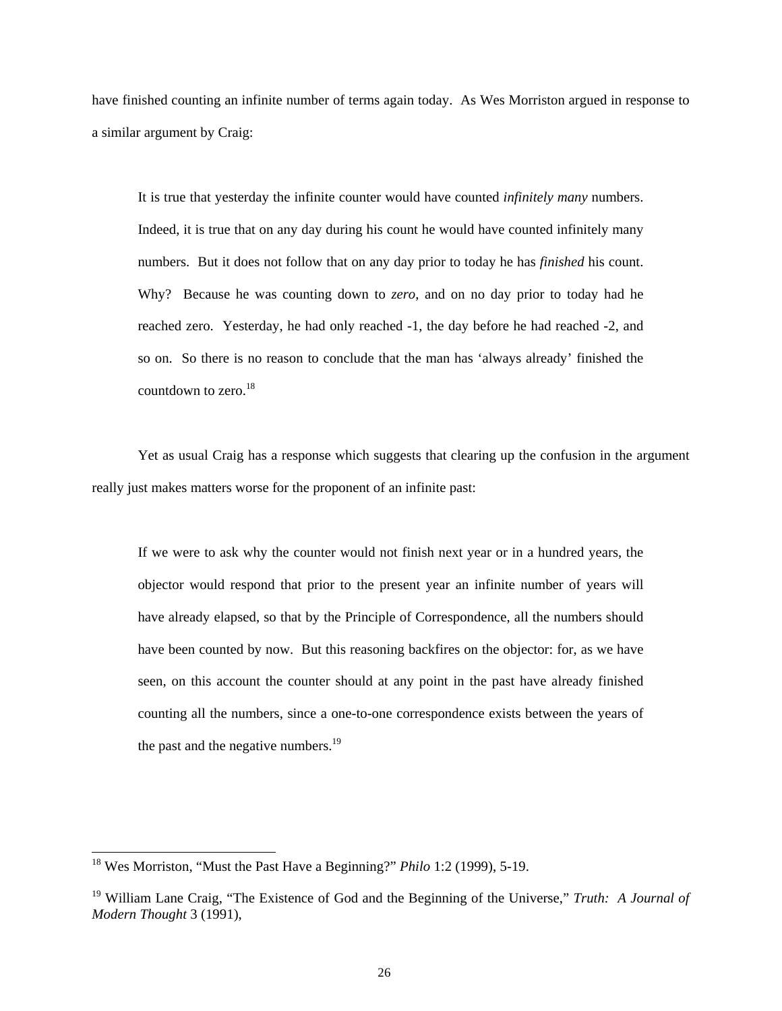have finished counting an infinite number of terms again today. As Wes Morriston argued in response to a similar argument by Craig:

It is true that yesterday the infinite counter would have counted *infinitely many* numbers. Indeed, it is true that on any day during his count he would have counted infinitely many numbers. But it does not follow that on any day prior to today he has *finished* his count. Why? Because he was counting down to *zero*, and on no day prior to today had he reached zero. Yesterday, he had only reached -1, the day before he had reached -2, and so on. So there is no reason to conclude that the man has 'always already' finished the countdown to zero.[18](#page-25-0)

Yet as usual Craig has a response which suggests that clearing up the confusion in the argument really just makes matters worse for the proponent of an infinite past:

If we were to ask why the counter would not finish next year or in a hundred years, the objector would respond that prior to the present year an infinite number of years will have already elapsed, so that by the Principle of Correspondence, all the numbers should have been counted by now. But this reasoning backfires on the objector: for, as we have seen, on this account the counter should at any point in the past have already finished counting all the numbers, since a one-to-one correspondence exists between the years of the past and the negative numbers. $19$ 

<span id="page-25-0"></span><sup>18</sup> Wes Morriston, "Must the Past Have a Beginning?" *Philo* 1:2 (1999), 5-19.

<span id="page-25-1"></span><sup>19</sup> William Lane Craig, "The Existence of God and the Beginning of the Universe," *Truth: A Journal of Modern Thought* 3 (1991),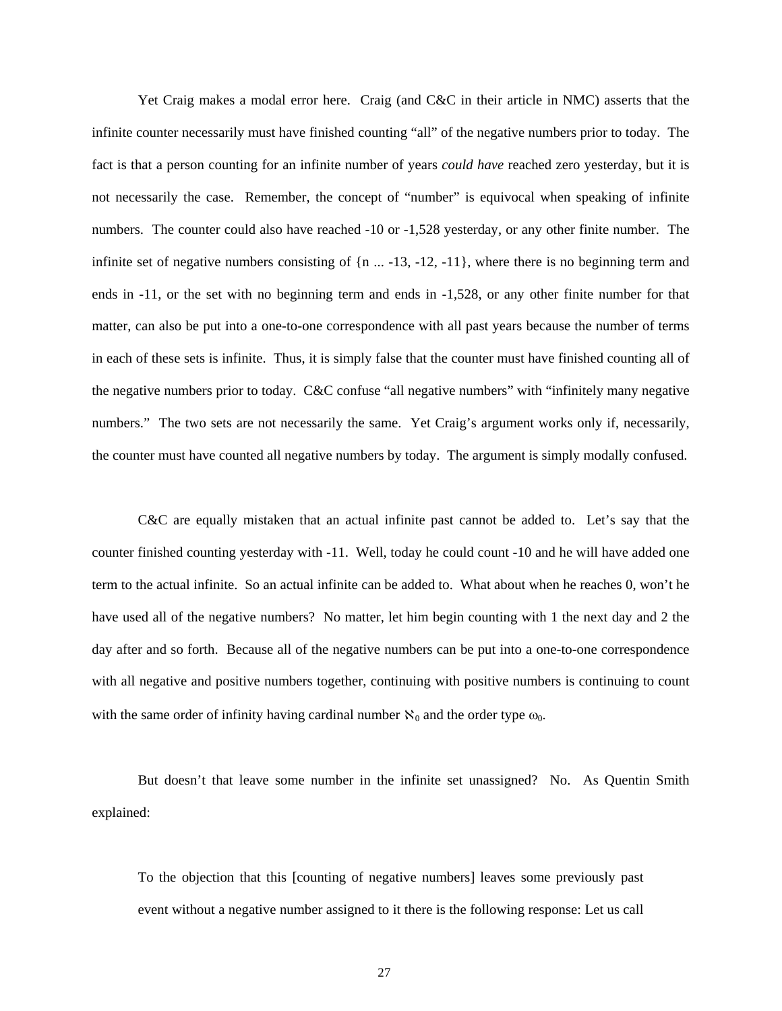Yet Craig makes a modal error here. Craig (and C&C in their article in NMC) asserts that the infinite counter necessarily must have finished counting "all" of the negative numbers prior to today. The fact is that a person counting for an infinite number of years *could have* reached zero yesterday, but it is not necessarily the case. Remember, the concept of "number" is equivocal when speaking of infinite numbers. The counter could also have reached -10 or -1,528 yesterday, or any other finite number. The infinite set of negative numbers consisting of  $\{n \dots -13, -12, -11\}$ , where there is no beginning term and ends in -11, or the set with no beginning term and ends in -1,528, or any other finite number for that matter, can also be put into a one-to-one correspondence with all past years because the number of terms in each of these sets is infinite. Thus, it is simply false that the counter must have finished counting all of the negative numbers prior to today. C&C confuse "all negative numbers" with "infinitely many negative numbers." The two sets are not necessarily the same. Yet Craig's argument works only if, necessarily, the counter must have counted all negative numbers by today. The argument is simply modally confused.

C&C are equally mistaken that an actual infinite past cannot be added to. Let's say that the counter finished counting yesterday with -11. Well, today he could count -10 and he will have added one term to the actual infinite. So an actual infinite can be added to. What about when he reaches 0, won't he have used all of the negative numbers? No matter, let him begin counting with 1 the next day and 2 the day after and so forth. Because all of the negative numbers can be put into a one-to-one correspondence with all negative and positive numbers together, continuing with positive numbers is continuing to count with the same order of infinity having cardinal number  $\aleph_0$  and the order type  $\omega_0$ .

But doesn't that leave some number in the infinite set unassigned? No. As Quentin Smith explained:

To the objection that this [counting of negative numbers] leaves some previously past event without a negative number assigned to it there is the following response: Let us call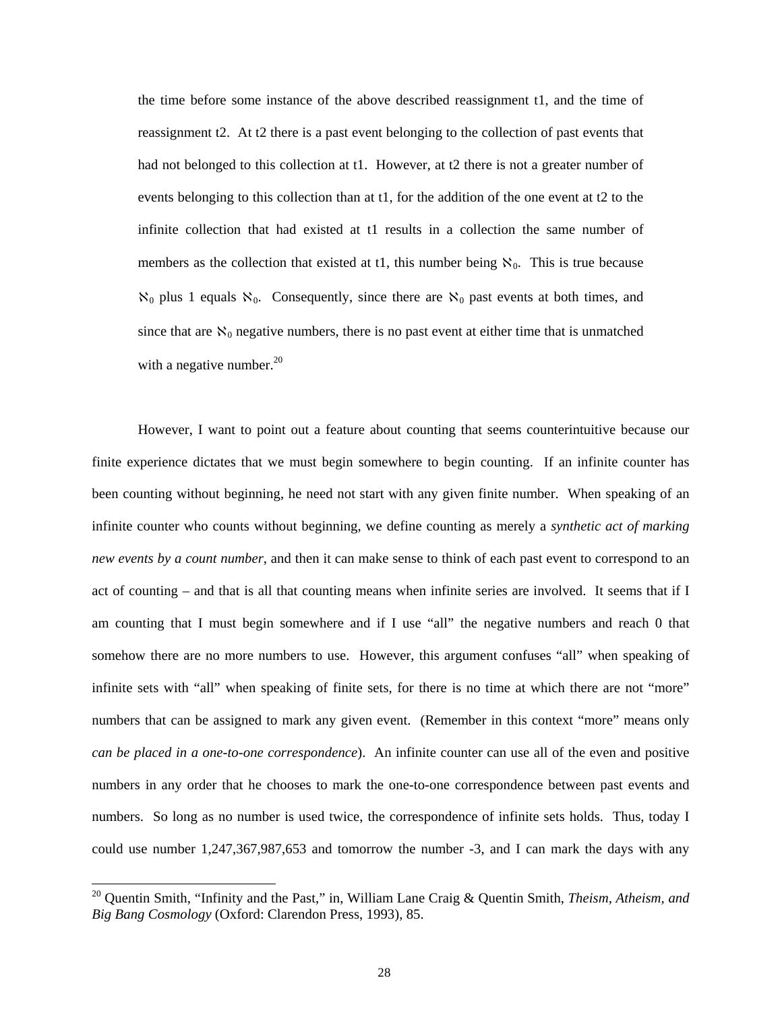the time before some instance of the above described reassignment t1, and the time of reassignment t2. At t2 there is a past event belonging to the collection of past events that had not belonged to this collection at t1. However, at t2 there is not a greater number of events belonging to this collection than at t1, for the addition of the one event at t2 to the infinite collection that had existed at t1 results in a collection the same number of members as the collection that existed at 11, this number being  $\aleph_0$ . This is true because  $\aleph_0$  plus 1 equals  $\aleph_0$ . Consequently, since there are  $\aleph_0$  past events at both times, and since that are  $\aleph_0$  negative numbers, there is no past event at either time that is unmatched with a negative number. $^{20}$  $^{20}$  $^{20}$ 

However, I want to point out a feature about counting that seems counterintuitive because our finite experience dictates that we must begin somewhere to begin counting. If an infinite counter has been counting without beginning, he need not start with any given finite number. When speaking of an infinite counter who counts without beginning, we define counting as merely a *synthetic act of marking new events by a count number*, and then it can make sense to think of each past event to correspond to an act of counting – and that is all that counting means when infinite series are involved. It seems that if I am counting that I must begin somewhere and if I use "all" the negative numbers and reach 0 that somehow there are no more numbers to use. However, this argument confuses "all" when speaking of infinite sets with "all" when speaking of finite sets, for there is no time at which there are not "more" numbers that can be assigned to mark any given event. (Remember in this context "more" means only *can be placed in a one-to-one correspondence*). An infinite counter can use all of the even and positive numbers in any order that he chooses to mark the one-to-one correspondence between past events and numbers. So long as no number is used twice, the correspondence of infinite sets holds. Thus, today I could use number 1,247,367,987,653 and tomorrow the number -3, and I can mark the days with any

<span id="page-27-0"></span><sup>20</sup> Quentin Smith, "Infinity and the Past," in, William Lane Craig & Quentin Smith, *Theism, Atheism, and Big Bang Cosmology* (Oxford: Clarendon Press, 1993), 85.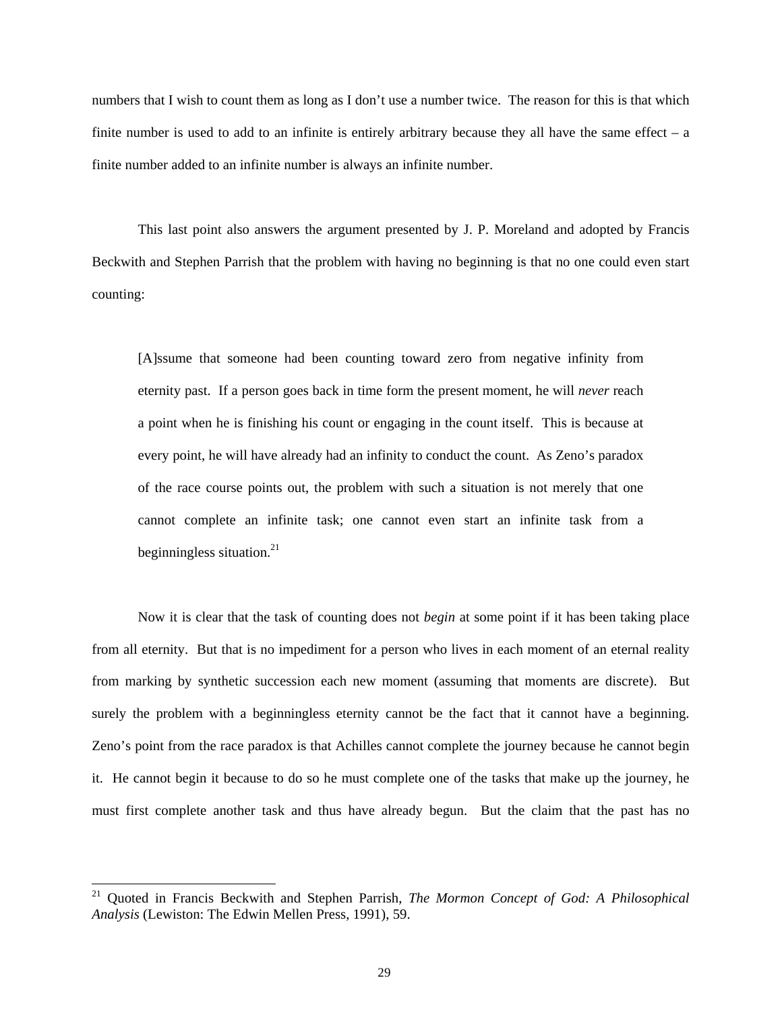numbers that I wish to count them as long as I don't use a number twice. The reason for this is that which finite number is used to add to an infinite is entirely arbitrary because they all have the same effect  $- a$ finite number added to an infinite number is always an infinite number.

This last point also answers the argument presented by J. P. Moreland and adopted by Francis Beckwith and Stephen Parrish that the problem with having no beginning is that no one could even start counting:

[A]ssume that someone had been counting toward zero from negative infinity from eternity past. If a person goes back in time form the present moment, he will *never* reach a point when he is finishing his count or engaging in the count itself. This is because at every point, he will have already had an infinity to conduct the count. As Zeno's paradox of the race course points out, the problem with such a situation is not merely that one cannot complete an infinite task; one cannot even start an infinite task from a beginningless situation. $^{21}$ 

Now it is clear that the task of counting does not *begin* at some point if it has been taking place from all eternity. But that is no impediment for a person who lives in each moment of an eternal reality from marking by synthetic succession each new moment (assuming that moments are discrete). But surely the problem with a beginningless eternity cannot be the fact that it cannot have a beginning. Zeno's point from the race paradox is that Achilles cannot complete the journey because he cannot begin it. He cannot begin it because to do so he must complete one of the tasks that make up the journey, he must first complete another task and thus have already begun. But the claim that the past has no

<span id="page-28-0"></span> $21\,$ 21 Quoted in Francis Beckwith and Stephen Parrish, *The Mormon Concept of God: A Philosophical Analysis* (Lewiston: The Edwin Mellen Press, 1991), 59.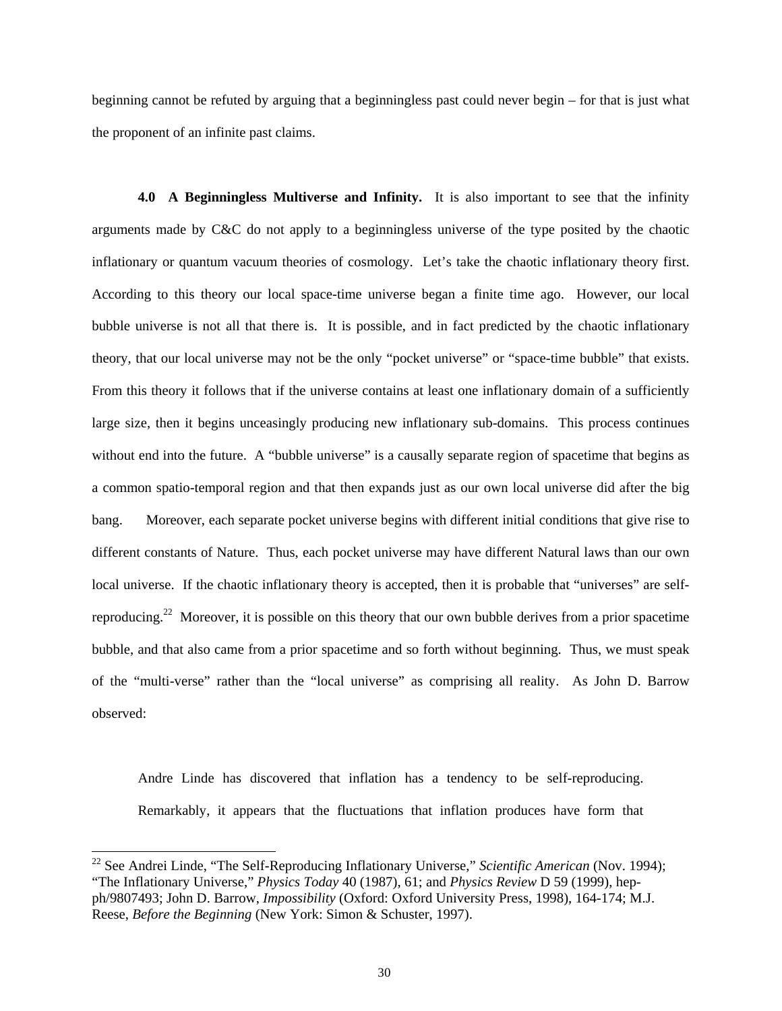beginning cannot be refuted by arguing that a beginningless past could never begin – for that is just what the proponent of an infinite past claims.

**4.0 A Beginningless Multiverse and Infinity.** It is also important to see that the infinity arguments made by C&C do not apply to a beginningless universe of the type posited by the chaotic inflationary or quantum vacuum theories of cosmology. Let's take the chaotic inflationary theory first. According to this theory our local space-time universe began a finite time ago. However, our local bubble universe is not all that there is. It is possible, and in fact predicted by the chaotic inflationary theory, that our local universe may not be the only "pocket universe" or "space-time bubble" that exists. From this theory it follows that if the universe contains at least one inflationary domain of a sufficiently large size, then it begins unceasingly producing new inflationary sub-domains. This process continues without end into the future. A "bubble universe" is a causally separate region of spacetime that begins as a common spatio-temporal region and that then expands just as our own local universe did after the big bang. Moreover, each separate pocket universe begins with different initial conditions that give rise to different constants of Nature. Thus, each pocket universe may have different Natural laws than our own local universe. If the chaotic inflationary theory is accepted, then it is probable that "universes" are selfreproducing.<sup>22</sup> Moreover, it is possible on this theory that our own bubble derives from a prior spacetime bubble, and that also came from a prior spacetime and so forth without beginning. Thus, we must speak of the "multi-verse" rather than the "local universe" as comprising all reality. As John D. Barrow observed:

Andre Linde has discovered that inflation has a tendency to be self-reproducing. Remarkably, it appears that the fluctuations that inflation produces have form that

<span id="page-29-0"></span><sup>22</sup> See Andrei Linde, "The Self-Reproducing Inflationary Universe," *Scientific American* (Nov. 1994); "The Inflationary Universe," *Physics Today* 40 (1987), 61; and *Physics Review* D 59 (1999), hepph/9807493; John D. Barrow, *Impossibility* (Oxford: Oxford University Press, 1998), 164-174; M.J. Reese, *Before the Beginning* (New York: Simon & Schuster, 1997).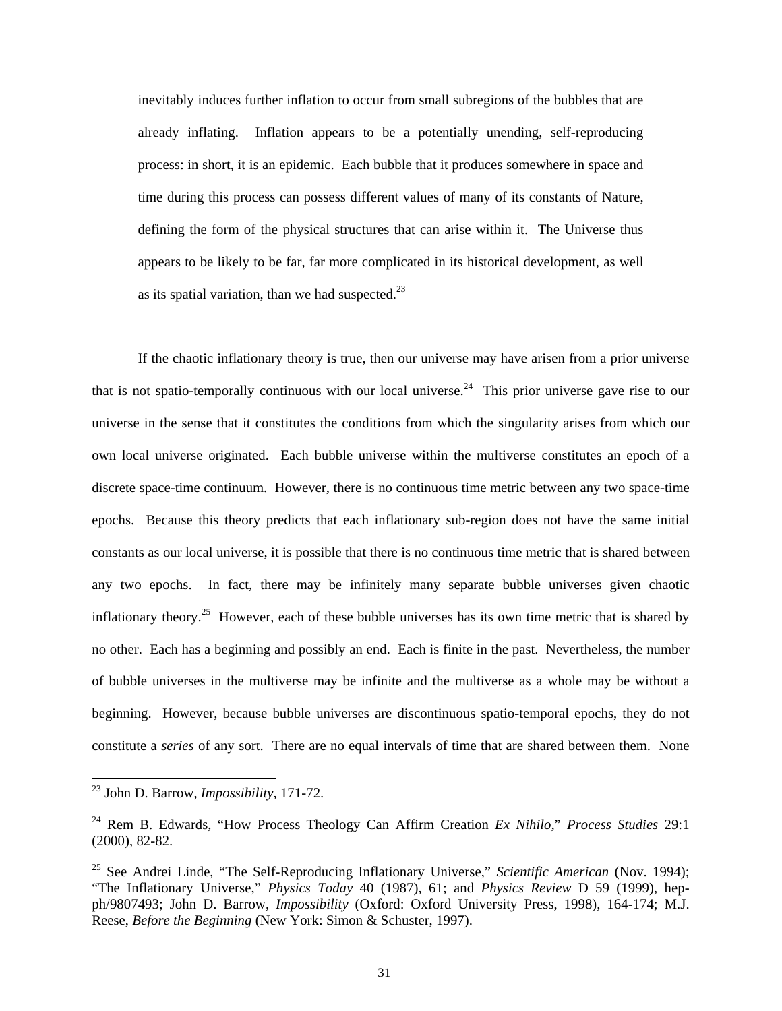inevitably induces further inflation to occur from small subregions of the bubbles that are already inflating. Inflation appears to be a potentially unending, self-reproducing process: in short, it is an epidemic. Each bubble that it produces somewhere in space and time during this process can possess different values of many of its constants of Nature, defining the form of the physical structures that can arise within it. The Universe thus appears to be likely to be far, far more complicated in its historical development, as well as its spatial variation, than we had suspected. $^{23}$ 

If the chaotic inflationary theory is true, then our universe may have arisen from a prior universe that is not spatio-temporally continuous with our local universe.<sup>24</sup> This prior universe gave rise to our universe in the sense that it constitutes the conditions from which the singularity arises from which our own local universe originated. Each bubble universe within the multiverse constitutes an epoch of a discrete space-time continuum. However, there is no continuous time metric between any two space-time epochs. Because this theory predicts that each inflationary sub-region does not have the same initial constants as our local universe, it is possible that there is no continuous time metric that is shared between any two epochs. In fact, there may be infinitely many separate bubble universes given chaotic inflationary theory.<sup>25</sup> However, each of these bubble universes has its own time metric that is shared by no other. Each has a beginning and possibly an end. Each is finite in the past. Nevertheless, the number of bubble universes in the multiverse may be infinite and the multiverse as a whole may be without a beginning. However, because bubble universes are discontinuous spatio-temporal epochs, they do not constitute a *series* of any sort. There are no equal intervals of time that are shared between them. None

<span id="page-30-0"></span><sup>23</sup> John D. Barrow, *Impossibility*, 171-72.

<span id="page-30-1"></span><sup>24</sup> Rem B. Edwards, "How Process Theology Can Affirm Creation *Ex Nihilo,*" *Process Studies* 29:1 (2000), 82-82.

<span id="page-30-2"></span><sup>25</sup> See Andrei Linde, "The Self-Reproducing Inflationary Universe," *Scientific American* (Nov. 1994); "The Inflationary Universe," *Physics Today* 40 (1987), 61; and *Physics Review* D 59 (1999), hepph/9807493; John D. Barrow, *Impossibility* (Oxford: Oxford University Press, 1998), 164-174; M.J. Reese, *Before the Beginning* (New York: Simon & Schuster, 1997).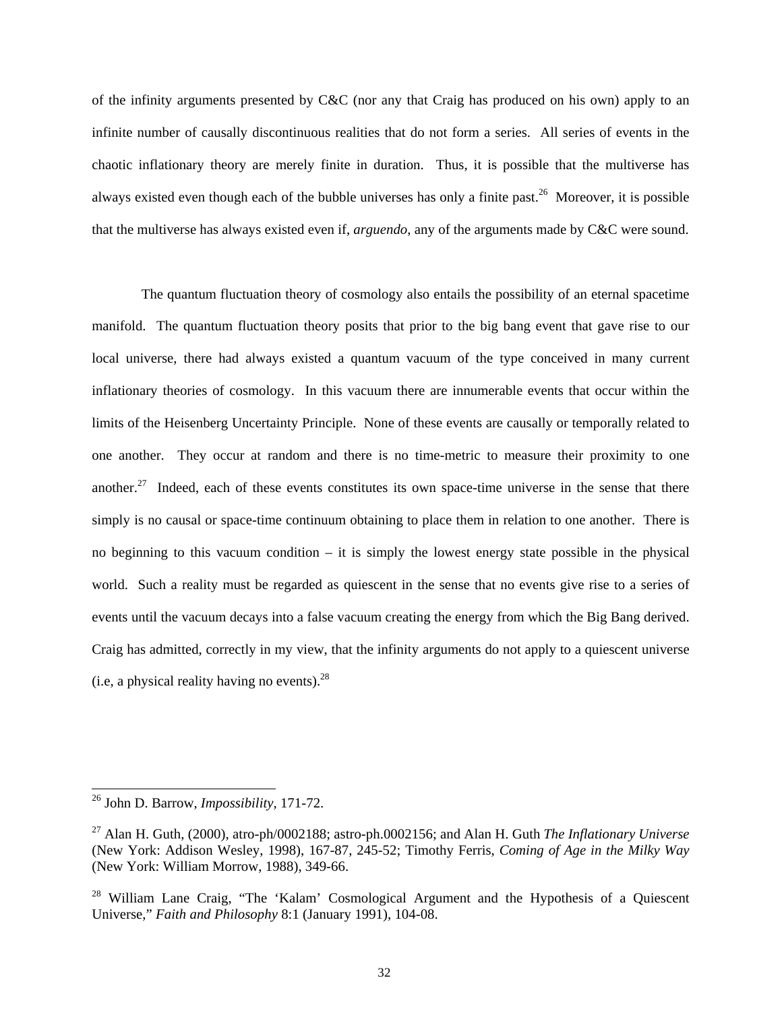of the infinity arguments presented by C&C (nor any that Craig has produced on his own) apply to an infinite number of causally discontinuous realities that do not form a series. All series of events in the chaotic inflationary theory are merely finite in duration. Thus, it is possible that the multiverse has always existed even though each of the bubble universes has only a finite past.<sup>26</sup> Moreover, it is possible that the multiverse has always existed even if, *arguendo*, any of the arguments made by C&C were sound.

The quantum fluctuation theory of cosmology also entails the possibility of an eternal spacetime manifold. The quantum fluctuation theory posits that prior to the big bang event that gave rise to our local universe, there had always existed a quantum vacuum of the type conceived in many current inflationary theories of cosmology. In this vacuum there are innumerable events that occur within the limits of the Heisenberg Uncertainty Principle. None of these events are causally or temporally related to one another. They occur at random and there is no time-metric to measure their proximity to one another.<sup>27</sup> Indeed, each of these events constitutes its own space-time universe in the sense that there simply is no causal or space-time continuum obtaining to place them in relation to one another. There is no beginning to this vacuum condition – it is simply the lowest energy state possible in the physical world. Such a reality must be regarded as quiescent in the sense that no events give rise to a series of events until the vacuum decays into a false vacuum creating the energy from which the Big Bang derived. Craig has admitted, correctly in my view, that the infinity arguments do not apply to a quiescent universe (i.e, a physical reality having no events). $^{28}$ 

l

<span id="page-31-0"></span><sup>26</sup> John D. Barrow, *Impossibility*, 171-72.

<span id="page-31-1"></span><sup>27</sup> Alan H. Guth, (2000), atro-ph/0002188; astro-ph.0002156; and Alan H. Guth *The Inflationary Universe*  (New York: Addison Wesley, 1998), 167-87, 245-52; Timothy Ferris, *Coming of Age in the Milky Way* (New York: William Morrow, 1988), 349-66.

<span id="page-31-2"></span><sup>&</sup>lt;sup>28</sup> William Lane Craig, "The 'Kalam' Cosmological Argument and the Hypothesis of a Quiescent Universe," *Faith and Philosophy* 8:1 (January 1991), 104-08.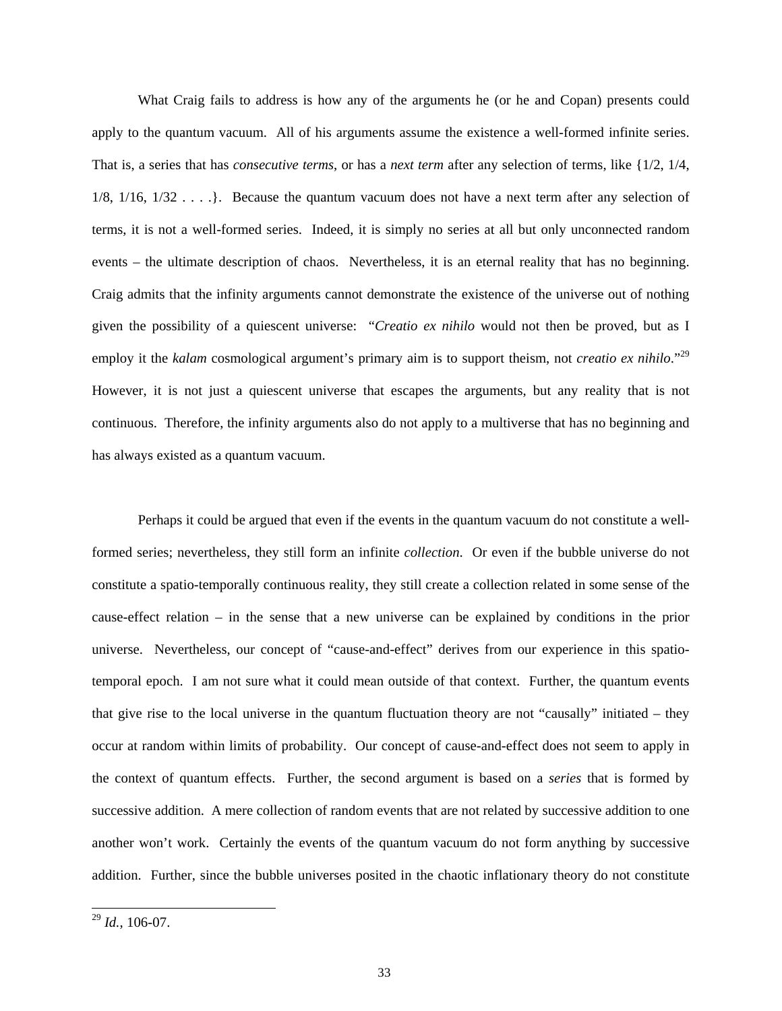What Craig fails to address is how any of the arguments he (or he and Copan) presents could apply to the quantum vacuum. All of his arguments assume the existence a well-formed infinite series. That is, a series that has *consecutive terms*, or has a *next term* after any selection of terms, like {1/2, 1/4, 1/8, 1/16, 1/32 . . . .}. Because the quantum vacuum does not have a next term after any selection of terms, it is not a well-formed series. Indeed, it is simply no series at all but only unconnected random events – the ultimate description of chaos. Nevertheless, it is an eternal reality that has no beginning. Craig admits that the infinity arguments cannot demonstrate the existence of the universe out of nothing given the possibility of a quiescent universe: "*Creatio ex nihilo* would not then be proved, but as I employ it the *kalam* cosmological argument's primary aim is to support theism, not *creatio ex nihilo*."<sup>29</sup> However, it is not just a quiescent universe that escapes the arguments, but any reality that is not continuous. Therefore, the infinity arguments also do not apply to a multiverse that has no beginning and has always existed as a quantum vacuum.

Perhaps it could be argued that even if the events in the quantum vacuum do not constitute a wellformed series; nevertheless, they still form an infinite *collection*. Or even if the bubble universe do not constitute a spatio-temporally continuous reality, they still create a collection related in some sense of the cause-effect relation – in the sense that a new universe can be explained by conditions in the prior universe. Nevertheless, our concept of "cause-and-effect" derives from our experience in this spatiotemporal epoch. I am not sure what it could mean outside of that context. Further, the quantum events that give rise to the local universe in the quantum fluctuation theory are not "causally" initiated – they occur at random within limits of probability. Our concept of cause-and-effect does not seem to apply in the context of quantum effects. Further, the second argument is based on a *series* that is formed by successive addition. A mere collection of random events that are not related by successive addition to one another won't work. Certainly the events of the quantum vacuum do not form anything by successive addition. Further, since the bubble universes posited in the chaotic inflationary theory do not constitute

<span id="page-32-0"></span><sup>29</sup> *Id.*, 106-07.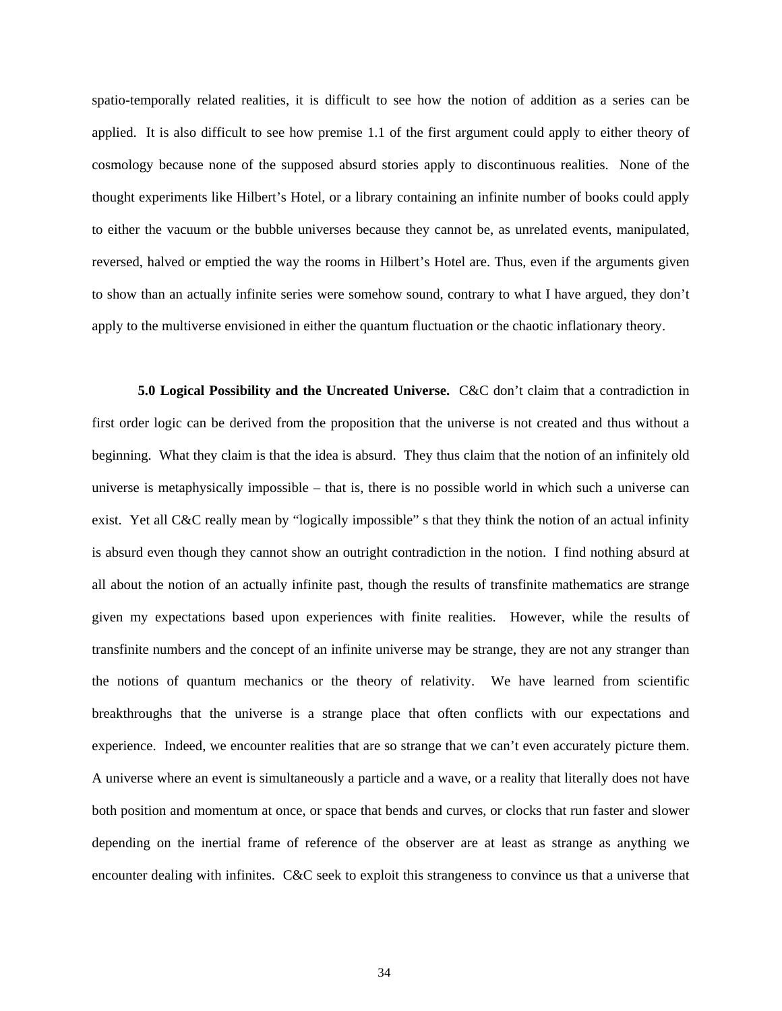spatio-temporally related realities, it is difficult to see how the notion of addition as a series can be applied. It is also difficult to see how premise 1.1 of the first argument could apply to either theory of cosmology because none of the supposed absurd stories apply to discontinuous realities. None of the thought experiments like Hilbert's Hotel, or a library containing an infinite number of books could apply to either the vacuum or the bubble universes because they cannot be, as unrelated events, manipulated, reversed, halved or emptied the way the rooms in Hilbert's Hotel are. Thus, even if the arguments given to show than an actually infinite series were somehow sound, contrary to what I have argued, they don't apply to the multiverse envisioned in either the quantum fluctuation or the chaotic inflationary theory.

**5.0 Logical Possibility and the Uncreated Universe.** C&C don't claim that a contradiction in first order logic can be derived from the proposition that the universe is not created and thus without a beginning. What they claim is that the idea is absurd. They thus claim that the notion of an infinitely old universe is metaphysically impossible – that is, there is no possible world in which such a universe can exist. Yet all C&C really mean by "logically impossible" s that they think the notion of an actual infinity is absurd even though they cannot show an outright contradiction in the notion. I find nothing absurd at all about the notion of an actually infinite past, though the results of transfinite mathematics are strange given my expectations based upon experiences with finite realities. However, while the results of transfinite numbers and the concept of an infinite universe may be strange, they are not any stranger than the notions of quantum mechanics or the theory of relativity. We have learned from scientific breakthroughs that the universe is a strange place that often conflicts with our expectations and experience. Indeed, we encounter realities that are so strange that we can't even accurately picture them. A universe where an event is simultaneously a particle and a wave, or a reality that literally does not have both position and momentum at once, or space that bends and curves, or clocks that run faster and slower depending on the inertial frame of reference of the observer are at least as strange as anything we encounter dealing with infinites. C&C seek to exploit this strangeness to convince us that a universe that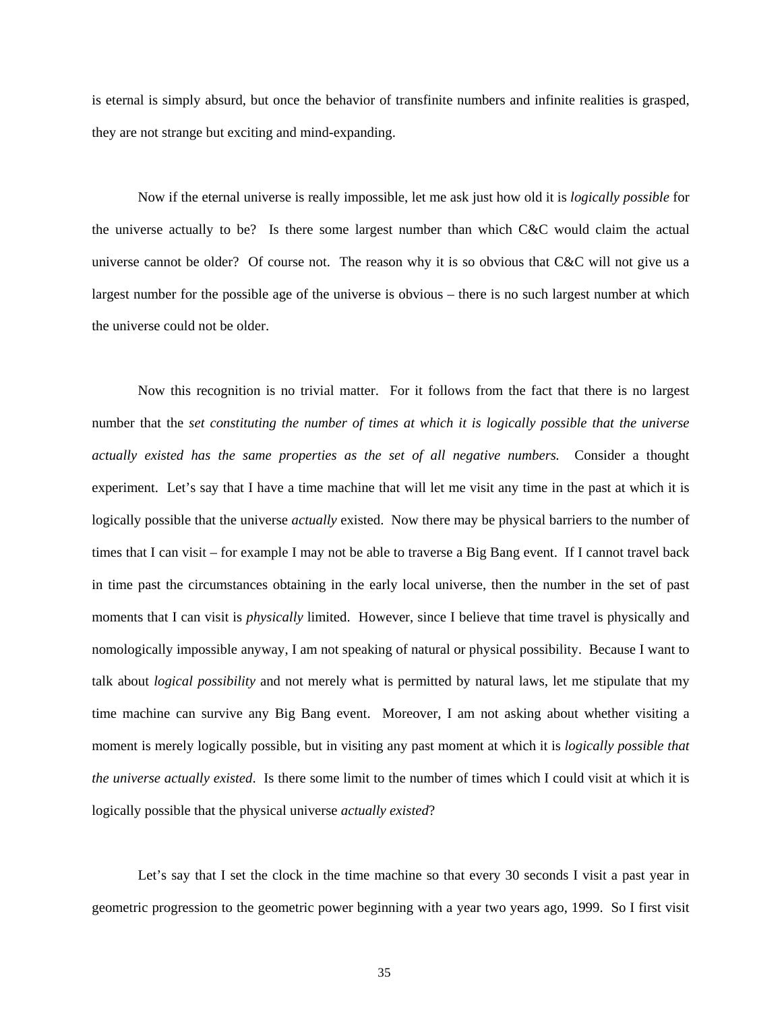is eternal is simply absurd, but once the behavior of transfinite numbers and infinite realities is grasped, they are not strange but exciting and mind-expanding.

Now if the eternal universe is really impossible, let me ask just how old it is *logically possible* for the universe actually to be? Is there some largest number than which C&C would claim the actual universe cannot be older? Of course not. The reason why it is so obvious that C&C will not give us a largest number for the possible age of the universe is obvious – there is no such largest number at which the universe could not be older.

Now this recognition is no trivial matter. For it follows from the fact that there is no largest number that the *set constituting the number of times at which it is logically possible that the universe actually existed has the same properties as the set of all negative numbers.* Consider a thought experiment. Let's say that I have a time machine that will let me visit any time in the past at which it is logically possible that the universe *actually* existed. Now there may be physical barriers to the number of times that I can visit – for example I may not be able to traverse a Big Bang event. If I cannot travel back in time past the circumstances obtaining in the early local universe, then the number in the set of past moments that I can visit is *physically* limited. However, since I believe that time travel is physically and nomologically impossible anyway, I am not speaking of natural or physical possibility. Because I want to talk about *logical possibility* and not merely what is permitted by natural laws, let me stipulate that my time machine can survive any Big Bang event. Moreover, I am not asking about whether visiting a moment is merely logically possible, but in visiting any past moment at which it is *logically possible that the universe actually existed*. Is there some limit to the number of times which I could visit at which it is logically possible that the physical universe *actually existed*?

Let's say that I set the clock in the time machine so that every 30 seconds I visit a past year in geometric progression to the geometric power beginning with a year two years ago, 1999. So I first visit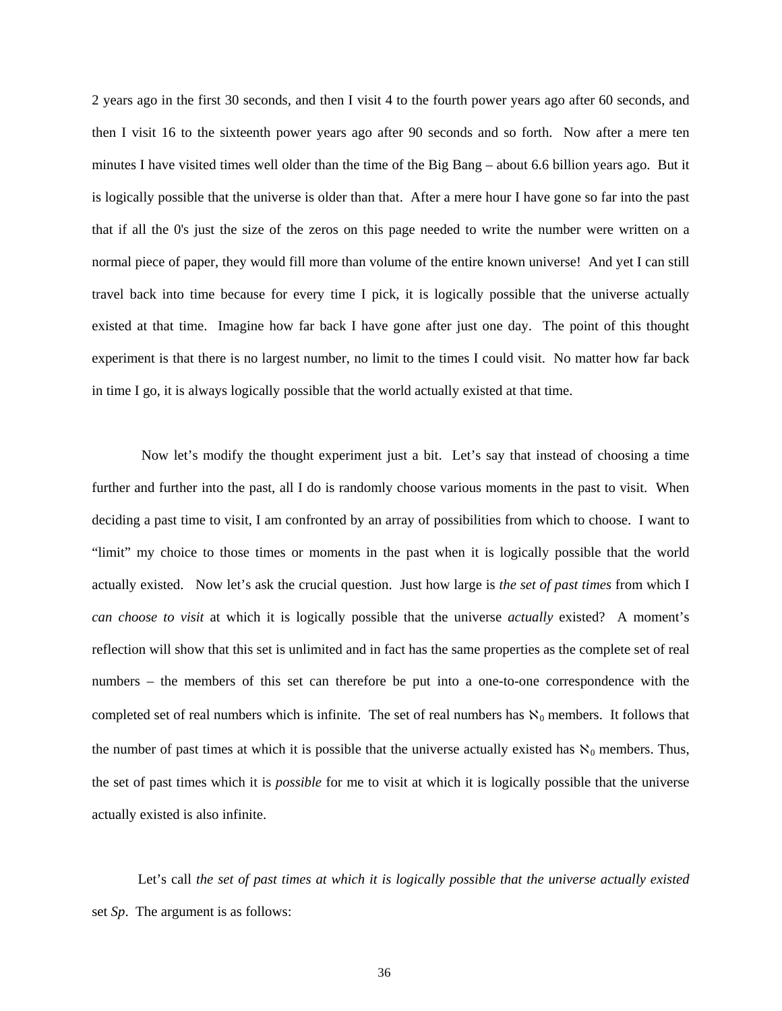2 years ago in the first 30 seconds, and then I visit 4 to the fourth power years ago after 60 seconds, and then I visit 16 to the sixteenth power years ago after 90 seconds and so forth. Now after a mere ten minutes I have visited times well older than the time of the Big Bang – about 6.6 billion years ago. But it is logically possible that the universe is older than that. After a mere hour I have gone so far into the past that if all the 0's just the size of the zeros on this page needed to write the number were written on a normal piece of paper, they would fill more than volume of the entire known universe! And yet I can still travel back into time because for every time I pick, it is logically possible that the universe actually existed at that time. Imagine how far back I have gone after just one day. The point of this thought experiment is that there is no largest number, no limit to the times I could visit. No matter how far back in time I go, it is always logically possible that the world actually existed at that time.

Now let's modify the thought experiment just a bit. Let's say that instead of choosing a time further and further into the past, all I do is randomly choose various moments in the past to visit. When deciding a past time to visit, I am confronted by an array of possibilities from which to choose. I want to "limit" my choice to those times or moments in the past when it is logically possible that the world actually existed. Now let's ask the crucial question. Just how large is *the set of past times* from which I *can choose to visit* at which it is logically possible that the universe *actually* existed? A moment's reflection will show that this set is unlimited and in fact has the same properties as the complete set of real numbers – the members of this set can therefore be put into a one-to-one correspondence with the completed set of real numbers which is infinite. The set of real numbers has  $\aleph_0$  members. It follows that the number of past times at which it is possible that the universe actually existed has  $\aleph_0$  members. Thus, the set of past times which it is *possible* for me to visit at which it is logically possible that the universe actually existed is also infinite.

 Let's call *the set of past times at which it is logically possible that the universe actually existed* set *Sp*. The argument is as follows: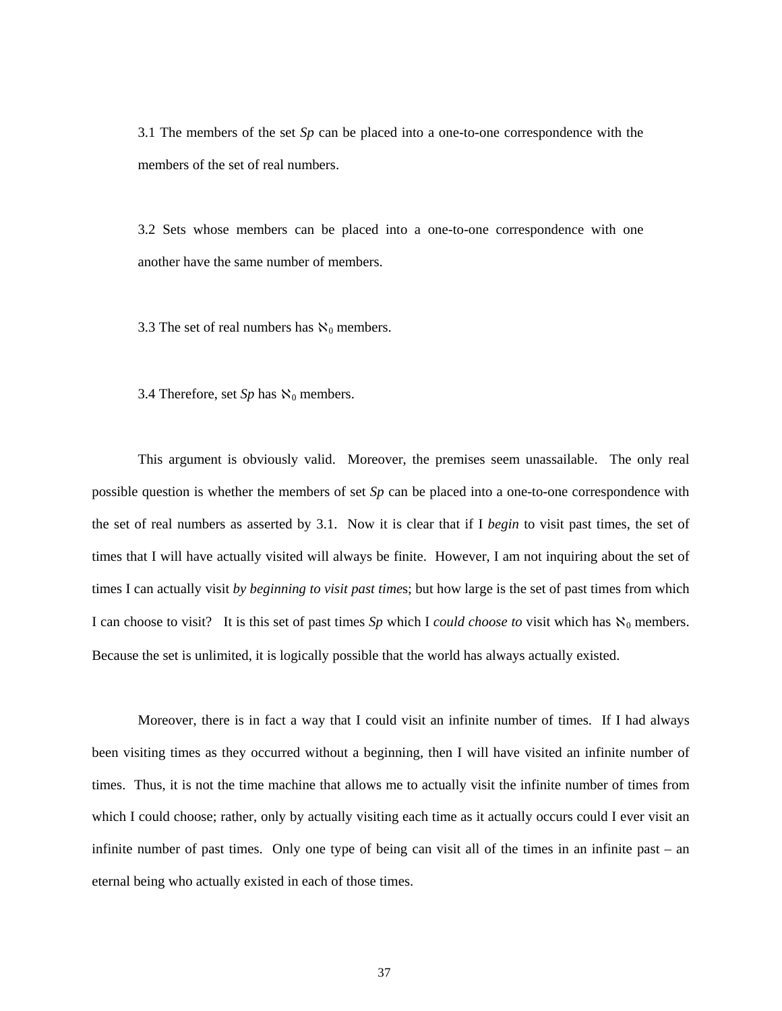3.1 The members of the set *Sp* can be placed into a one-to-one correspondence with the members of the set of real numbers.

3.2 Sets whose members can be placed into a one-to-one correspondence with one another have the same number of members.

3.3 The set of real numbers has  $\aleph_0$  members.

3.4 Therefore, set  $Sp$  has  $\aleph_0$  members.

This argument is obviously valid. Moreover, the premises seem unassailable. The only real possible question is whether the members of set *Sp* can be placed into a one-to-one correspondence with the set of real numbers as asserted by 3.1. Now it is clear that if I *begin* to visit past times, the set of times that I will have actually visited will always be finite. However, I am not inquiring about the set of times I can actually visit *by beginning to visit past time*s; but how large is the set of past times from which I can choose to visit? It is this set of past times *Sp* which I *could choose to* visit which has  $\aleph_0$  members. Because the set is unlimited, it is logically possible that the world has always actually existed.

Moreover, there is in fact a way that I could visit an infinite number of times. If I had always been visiting times as they occurred without a beginning, then I will have visited an infinite number of times. Thus, it is not the time machine that allows me to actually visit the infinite number of times from which I could choose; rather, only by actually visiting each time as it actually occurs could I ever visit an infinite number of past times. Only one type of being can visit all of the times in an infinite past – an eternal being who actually existed in each of those times.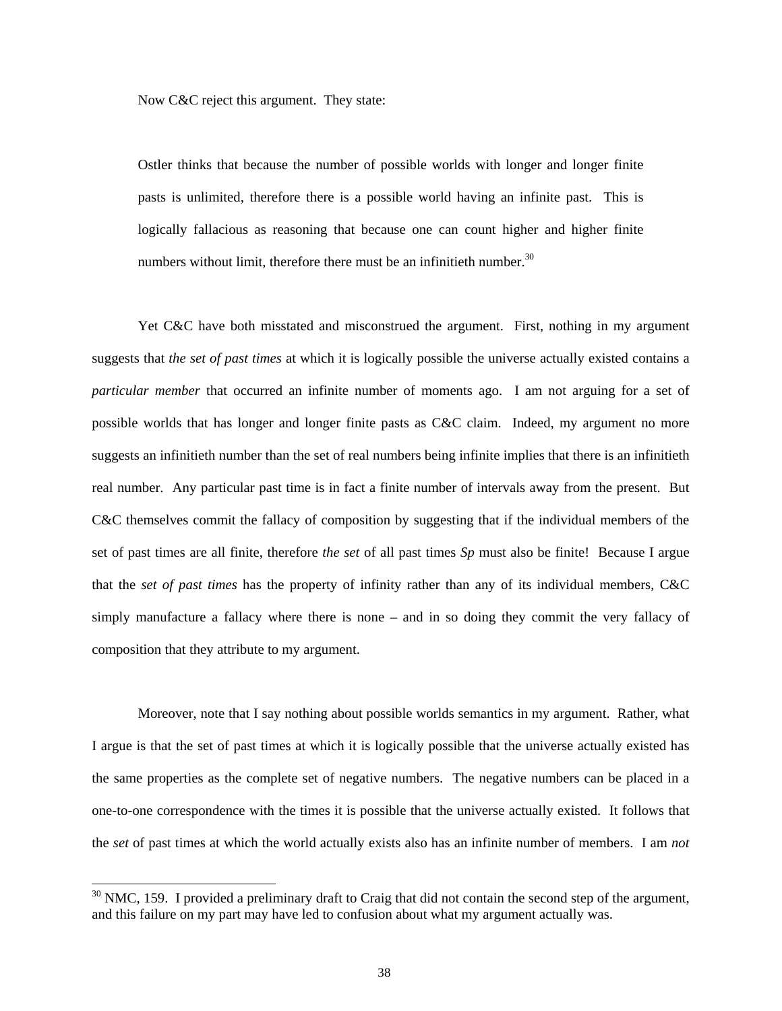Now C&C reject this argument. They state:

Ostler thinks that because the number of possible worlds with longer and longer finite pasts is unlimited, therefore there is a possible world having an infinite past. This is logically fallacious as reasoning that because one can count higher and higher finite numbers without limit, therefore there must be an infinitieth number.<sup>[30](#page-37-0)</sup>

Yet C&C have both misstated and misconstrued the argument. First, nothing in my argument suggests that *the set of past times* at which it is logically possible the universe actually existed contains a *particular member* that occurred an infinite number of moments ago. I am not arguing for a set of possible worlds that has longer and longer finite pasts as C&C claim. Indeed, my argument no more suggests an infinitieth number than the set of real numbers being infinite implies that there is an infinitieth real number. Any particular past time is in fact a finite number of intervals away from the present. But C&C themselves commit the fallacy of composition by suggesting that if the individual members of the set of past times are all finite, therefore *the set* of all past times *Sp* must also be finite! Because I argue that the *set of past times* has the property of infinity rather than any of its individual members, C&C simply manufacture a fallacy where there is none – and in so doing they commit the very fallacy of composition that they attribute to my argument.

Moreover, note that I say nothing about possible worlds semantics in my argument. Rather, what I argue is that the set of past times at which it is logically possible that the universe actually existed has the same properties as the complete set of negative numbers. The negative numbers can be placed in a one-to-one correspondence with the times it is possible that the universe actually existed. It follows that the *set* of past times at which the world actually exists also has an infinite number of members. I am *not*

<span id="page-37-0"></span> $30$  NMC, 159. I provided a preliminary draft to Craig that did not contain the second step of the argument, and this failure on my part may have led to confusion about what my argument actually was.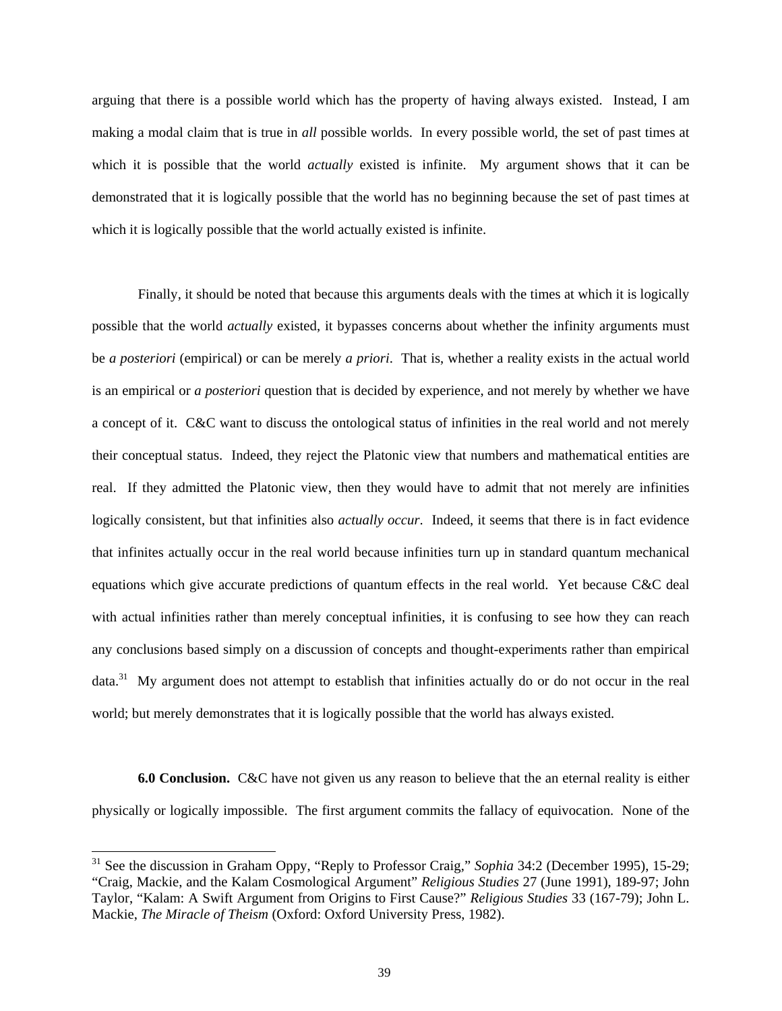arguing that there is a possible world which has the property of having always existed. Instead, I am making a modal claim that is true in *all* possible worlds. In every possible world, the set of past times at which it is possible that the world *actually* existed is infinite. My argument shows that it can be demonstrated that it is logically possible that the world has no beginning because the set of past times at which it is logically possible that the world actually existed is infinite.

Finally, it should be noted that because this arguments deals with the times at which it is logically possible that the world *actually* existed, it bypasses concerns about whether the infinity arguments must be *a posteriori* (empirical) or can be merely *a priori*. That is, whether a reality exists in the actual world is an empirical or *a posteriori* question that is decided by experience, and not merely by whether we have a concept of it. C&C want to discuss the ontological status of infinities in the real world and not merely their conceptual status. Indeed, they reject the Platonic view that numbers and mathematical entities are real. If they admitted the Platonic view, then they would have to admit that not merely are infinities logically consistent, but that infinities also *actually occur*. Indeed, it seems that there is in fact evidence that infinites actually occur in the real world because infinities turn up in standard quantum mechanical equations which give accurate predictions of quantum effects in the real world. Yet because C&C deal with actual infinities rather than merely conceptual infinities, it is confusing to see how they can reach any conclusions based simply on a discussion of concepts and thought-experiments rather than empirical data.<sup>31</sup> My argument does not attempt to establish that infinities actually do or do not occur in the real world; but merely demonstrates that it is logically possible that the world has always existed.

**6.0 Conclusion.** C&C have not given us any reason to believe that the an eternal reality is either physically or logically impossible. The first argument commits the fallacy of equivocation. None of the

<span id="page-38-0"></span><sup>31</sup> See the discussion in Graham Oppy, "Reply to Professor Craig," *Sophia* 34:2 (December 1995), 15-29; "Craig, Mackie, and the Kalam Cosmological Argument" *Religious Studies* 27 (June 1991), 189-97; John Taylor, "Kalam: A Swift Argument from Origins to First Cause?" *Religious Studies* 33 (167-79); John L. Mackie, *The Miracle of Theism* (Oxford: Oxford University Press, 1982).